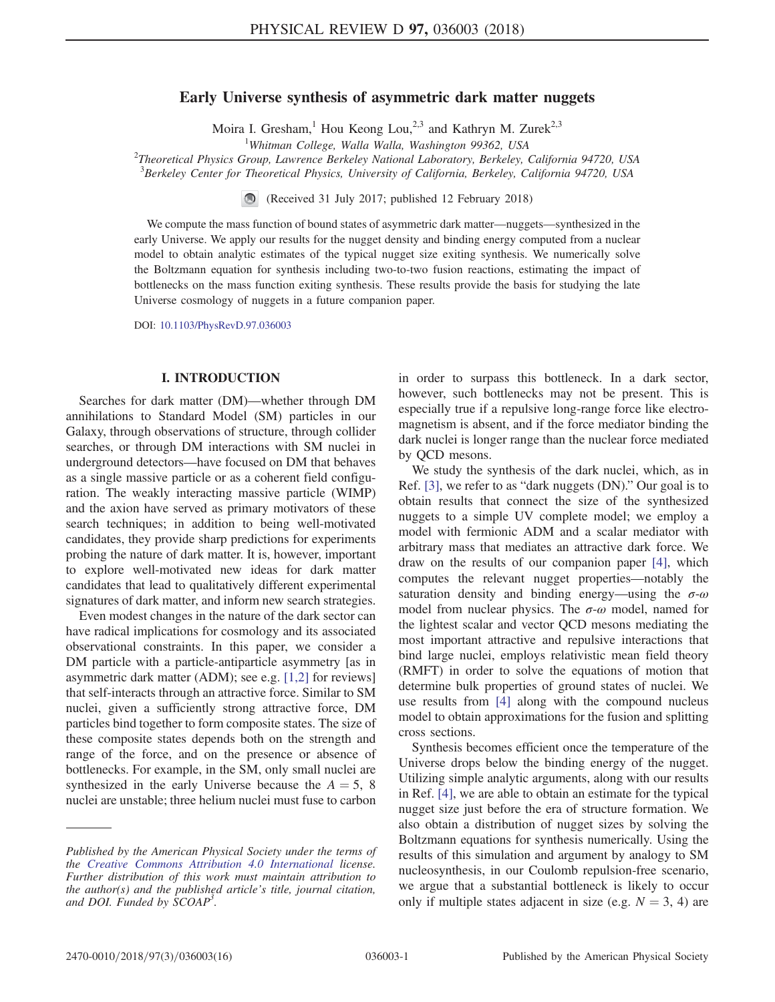# Early Universe synthesis of asymmetric dark matter nuggets

Moira I. Gresham, Hou Keong Lou,<sup>2,3</sup> and Kathryn M. Zurek<sup>2,3</sup>

<sup>1</sup>Whitman College, Walla Walla, Washington 99362, USA

Whitman College, Walla Walla, Washington 99362, USA<br><sup>2</sup>Theoretical Physics Group, Lawrence Berkeley National Laboratory, Berkeley, California 94720, USA

 ${}^{3}$ Berkeley Center for Theoretical Physics, University of California, Berkeley, California 94720, USA

(Received 31 July 2017; published 12 February 2018)

We compute the mass function of bound states of asymmetric dark matter—nuggets—synthesized in the early Universe. We apply our results for the nugget density and binding energy computed from a nuclear model to obtain analytic estimates of the typical nugget size exiting synthesis. We numerically solve the Boltzmann equation for synthesis including two-to-two fusion reactions, estimating the impact of bottlenecks on the mass function exiting synthesis. These results provide the basis for studying the late Universe cosmology of nuggets in a future companion paper.

DOI: [10.1103/PhysRevD.97.036003](https://doi.org/10.1103/PhysRevD.97.036003)

## I. INTRODUCTION

Searches for dark matter (DM)—whether through DM annihilations to Standard Model (SM) particles in our Galaxy, through observations of structure, through collider searches, or through DM interactions with SM nuclei in underground detectors—have focused on DM that behaves as a single massive particle or as a coherent field configuration. The weakly interacting massive particle (WIMP) and the axion have served as primary motivators of these search techniques; in addition to being well-motivated candidates, they provide sharp predictions for experiments probing the nature of dark matter. It is, however, important to explore well-motivated new ideas for dark matter candidates that lead to qualitatively different experimental signatures of dark matter, and inform new search strategies.

Even modest changes in the nature of the dark sector can have radical implications for cosmology and its associated observational constraints. In this paper, we consider a DM particle with a particle-antiparticle asymmetry [as in asymmetric dark matter (ADM); see e.g. [\[1,2\]](#page-14-0) for reviews] that self-interacts through an attractive force. Similar to SM nuclei, given a sufficiently strong attractive force, DM particles bind together to form composite states. The size of these composite states depends both on the strength and range of the force, and on the presence or absence of bottlenecks. For example, in the SM, only small nuclei are synthesized in the early Universe because the  $A = 5$ , 8 nuclei are unstable; three helium nuclei must fuse to carbon

in order to surpass this bottleneck. In a dark sector, however, such bottlenecks may not be present. This is especially true if a repulsive long-range force like electromagnetism is absent, and if the force mediator binding the dark nuclei is longer range than the nuclear force mediated by QCD mesons.

We study the synthesis of the dark nuclei, which, as in Ref. [\[3\]](#page-14-1), we refer to as "dark nuggets (DN)." Our goal is to obtain results that connect the size of the synthesized nuggets to a simple UV complete model; we employ a model with fermionic ADM and a scalar mediator with arbitrary mass that mediates an attractive dark force. We draw on the results of our companion paper [\[4\]](#page-14-2), which computes the relevant nugget properties—notably the saturation density and binding energy—using the  $\sigma-\omega$ model from nuclear physics. The  $\sigma$ - $\omega$  model, named for the lightest scalar and vector QCD mesons mediating the most important attractive and repulsive interactions that bind large nuclei, employs relativistic mean field theory (RMFT) in order to solve the equations of motion that determine bulk properties of ground states of nuclei. We use results from [\[4\]](#page-14-2) along with the compound nucleus model to obtain approximations for the fusion and splitting cross sections.

Synthesis becomes efficient once the temperature of the Universe drops below the binding energy of the nugget. Utilizing simple analytic arguments, along with our results in Ref. [\[4\],](#page-14-2) we are able to obtain an estimate for the typical nugget size just before the era of structure formation. We also obtain a distribution of nugget sizes by solving the Boltzmann equations for synthesis numerically. Using the results of this simulation and argument by analogy to SM nucleosynthesis, in our Coulomb repulsion-free scenario, we argue that a substantial bottleneck is likely to occur only if multiple states adjacent in size (e.g.  $N = 3, 4$ ) are

Published by the American Physical Society under the terms of the [Creative Commons Attribution 4.0 International](https://creativecommons.org/licenses/by/4.0/) license. Further distribution of this work must maintain attribution to the author(s) and the published article's title, journal citation, and DOI. Funded by SCOAP<sup>3</sup>.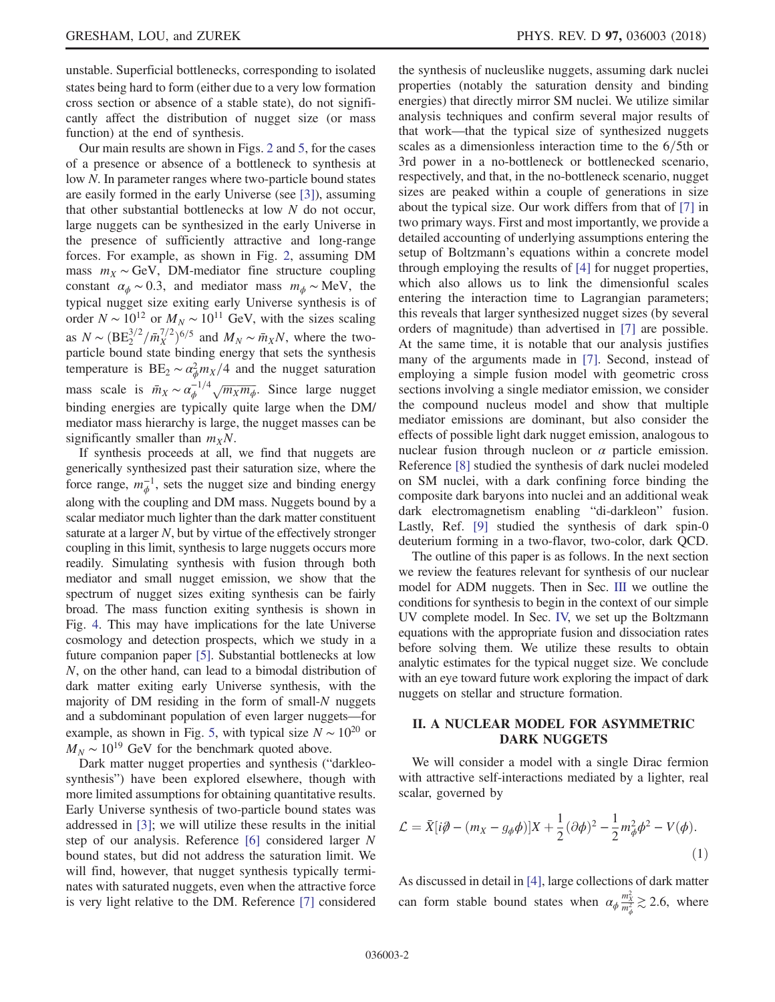unstable. Superficial bottlenecks, corresponding to isolated states being hard to form (either due to a very low formation cross section or absence of a stable state), do not significantly affect the distribution of nugget size (or mass function) at the end of synthesis.

Our main results are shown in Figs. [2](#page-9-0) and [5,](#page-13-0) for the cases of a presence or absence of a bottleneck to synthesis at low N. In parameter ranges where two-particle bound states are easily formed in the early Universe (see [\[3\]\)](#page-14-1), assuming that other substantial bottlenecks at low  $N$  do not occur, large nuggets can be synthesized in the early Universe in the presence of sufficiently attractive and long-range forces. For example, as shown in Fig. [2](#page-9-0), assuming DM mass  $m_X \sim \text{GeV}$ , DM-mediator fine structure coupling constant  $\alpha_{\phi} \sim 0.3$ , and mediator mass  $m_{\phi} \sim \text{MeV}$ , the typical nugget size exiting early Universe synthesis is of order  $N \sim 10^{12}$  or  $M_N \sim 10^{11}$  GeV, with the sizes scaling as  $N \sim (BE_2^{3/2}/\bar{m}_X^{7/2})^{6/5}$  and  $M_N \sim \bar{m}_X N$ , where the two-<br>particle bound state binding energy that sets the synthesis particle bound state binding energy that sets the synthesis temperature is  $BE_2 \sim \alpha_{\phi}^2 m_X/4$  and the nugget saturation mass scale is  $\bar{m}_X \sim \alpha_{\phi}^{-1/4} \sqrt{m_X m_{\phi}}$ . Since large nugget binding energies are typically quite large when the DM/ mediator mass hierarchy is large, the nugget masses can be significantly smaller than  $m_XN$ .

If synthesis proceeds at all, we find that nuggets are generically synthesized past their saturation size, where the force range,  $m_{\phi}^{-1}$ , sets the nugget size and binding energy along with the coupling and DM mass. Nuggets bound by a scalar mediator much lighter than the dark matter constituent saturate at a larger  $N$ , but by virtue of the effectively stronger coupling in this limit, synthesis to large nuggets occurs more readily. Simulating synthesis with fusion through both mediator and small nugget emission, we show that the spectrum of nugget sizes exiting synthesis can be fairly broad. The mass function exiting synthesis is shown in Fig. [4.](#page-12-0) This may have implications for the late Universe cosmology and detection prospects, which we study in a future companion paper [\[5\].](#page-14-3) Substantial bottlenecks at low N, on the other hand, can lead to a bimodal distribution of dark matter exiting early Universe synthesis, with the majority of DM residing in the form of small-N nuggets and a subdominant population of even larger nuggets—for example, as shown in Fig. [5,](#page-13-0) with typical size  $N \sim 10^{20}$  or  $M_N \sim 10^{19}$  GeV for the benchmark quoted above.

Dark matter nugget properties and synthesis ("darkleosynthesis") have been explored elsewhere, though with more limited assumptions for obtaining quantitative results. Early Universe synthesis of two-particle bound states was addressed in [\[3\];](#page-14-1) we will utilize these results in the initial step of our analysis. Reference [\[6\]](#page-14-4) considered larger N bound states, but did not address the saturation limit. We will find, however, that nugget synthesis typically terminates with saturated nuggets, even when the attractive force is very light relative to the DM. Reference [\[7\]](#page-15-0) considered the synthesis of nucleuslike nuggets, assuming dark nuclei properties (notably the saturation density and binding energies) that directly mirror SM nuclei. We utilize similar analysis techniques and confirm several major results of that work—that the typical size of synthesized nuggets scales as a dimensionless interaction time to the  $6/5$ th or 3rd power in a no-bottleneck or bottlenecked scenario, respectively, and that, in the no-bottleneck scenario, nugget sizes are peaked within a couple of generations in size about the typical size. Our work differs from that of [\[7\]](#page-15-0) in two primary ways. First and most importantly, we provide a detailed accounting of underlying assumptions entering the setup of Boltzmann's equations within a concrete model through employing the results of [\[4\]](#page-14-2) for nugget properties, which also allows us to link the dimensionful scales entering the interaction time to Lagrangian parameters; this reveals that larger synthesized nugget sizes (by several orders of magnitude) than advertised in [\[7\]](#page-15-0) are possible. At the same time, it is notable that our analysis justifies many of the arguments made in [\[7\]](#page-15-0). Second, instead of employing a simple fusion model with geometric cross sections involving a single mediator emission, we consider the compound nucleus model and show that multiple mediator emissions are dominant, but also consider the effects of possible light dark nugget emission, analogous to nuclear fusion through nucleon or  $\alpha$  particle emission. Reference [\[8\]](#page-15-1) studied the synthesis of dark nuclei modeled on SM nuclei, with a dark confining force binding the composite dark baryons into nuclei and an additional weak dark electromagnetism enabling "di-darkleon" fusion. Lastly, Ref. [\[9\]](#page-15-2) studied the synthesis of dark spin-0 deuterium forming in a two-flavor, two-color, dark QCD.

The outline of this paper is as follows. In the next section we review the features relevant for synthesis of our nuclear model for ADM nuggets. Then in Sec. [III](#page-3-0) we outline the conditions for synthesis to begin in the context of our simple UV complete model. In Sec. [IV,](#page-6-0) we set up the Boltzmann equations with the appropriate fusion and dissociation rates before solving them. We utilize these results to obtain analytic estimates for the typical nugget size. We conclude with an eye toward future work exploring the impact of dark nuggets on stellar and structure formation.

## II. A NUCLEAR MODEL FOR ASYMMETRIC DARK NUGGETS

We will consider a model with a single Dirac fermion with attractive self-interactions mediated by a lighter, real scalar, governed by

$$
\mathcal{L} = \bar{X}[i\partial - (m_X - g_\phi \phi)]X + \frac{1}{2}(\partial \phi)^2 - \frac{1}{2}m_\phi^2 \phi^2 - V(\phi).
$$
\n(1)

As discussed in detail in [\[4\]](#page-14-2), large collections of dark matter can form stable bound states when  $\alpha_{\phi} \frac{m_{\chi}^2}{m_{\phi}^2} \gtrsim 2.6$ , where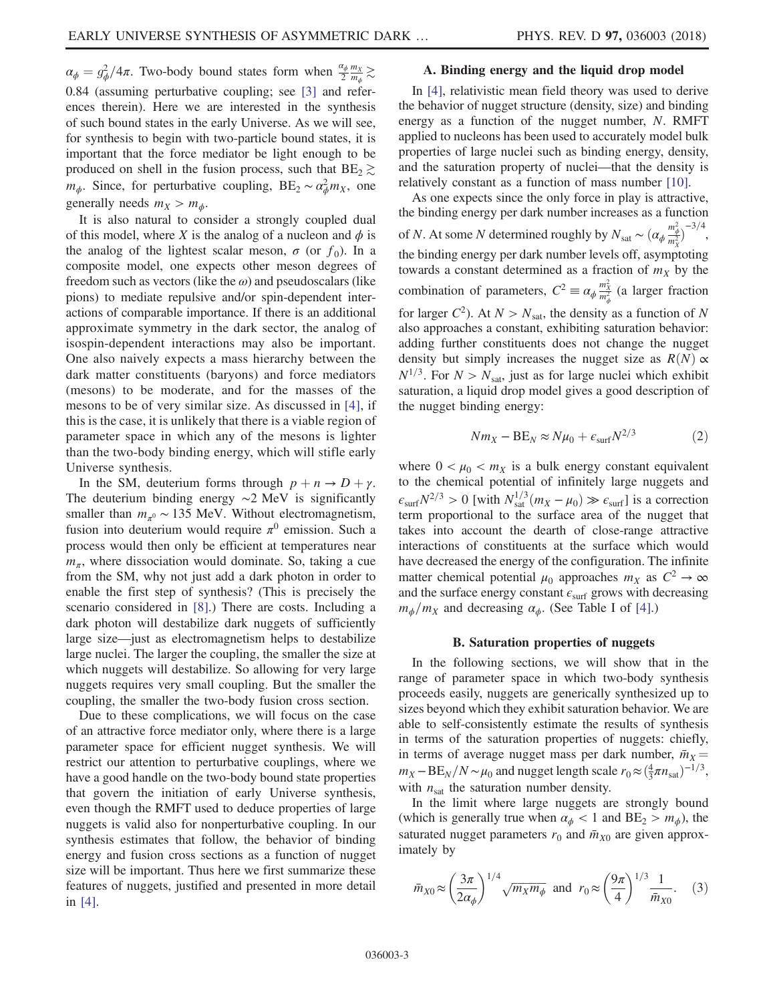$\alpha_{\phi} = g_{\phi}^2/4\pi$ . Two-body bound states form when  $\frac{\alpha_{\phi}}{2} \frac{m_X}{m_{\phi}} \gtrsim$ 0.84 (assuming perturbative coupling; see [\[3\]](#page-14-1) and references therein). Here we are interested in the synthesis of such bound states in the early Universe. As we will see, for synthesis to begin with two-particle bound states, it is important that the force mediator be light enough to be produced on shell in the fusion process, such that  $BE_2 \gtrsim$  $m_{\phi}$ . Since, for perturbative coupling, BE<sub>2</sub> ~  $\alpha_{\phi}^2 m_X$ , one generally needs  $m_X > m_\phi$ .

It is also natural to consider a strongly coupled dual of this model, where X is the analog of a nucleon and  $\phi$  is the analog of the lightest scalar meson,  $\sigma$  (or  $f_0$ ). In a composite model, one expects other meson degrees of freedom such as vectors (like the  $\omega$ ) and pseudoscalars (like pions) to mediate repulsive and/or spin-dependent interactions of comparable importance. If there is an additional approximate symmetry in the dark sector, the analog of isospin-dependent interactions may also be important. One also naively expects a mass hierarchy between the dark matter constituents (baryons) and force mediators (mesons) to be moderate, and for the masses of the mesons to be of very similar size. As discussed in [\[4\],](#page-14-2) if this is the case, it is unlikely that there is a viable region of parameter space in which any of the mesons is lighter than the two-body binding energy, which will stifle early Universe synthesis.

In the SM, deuterium forms through  $p + n \rightarrow D + \gamma$ . The deuterium binding energy ∼2 MeV is significantly smaller than  $m_{\pi^0} \sim 135$  MeV. Without electromagnetism, fusion into deuterium would require  $\pi^0$  emission. Such a process would then only be efficient at temperatures near  $m_{\pi}$ , where dissociation would dominate. So, taking a cue from the SM, why not just add a dark photon in order to enable the first step of synthesis? (This is precisely the scenario considered in [\[8\].](#page-15-1)) There are costs. Including a dark photon will destabilize dark nuggets of sufficiently large size—just as electromagnetism helps to destabilize large nuclei. The larger the coupling, the smaller the size at which nuggets will destabilize. So allowing for very large nuggets requires very small coupling. But the smaller the coupling, the smaller the two-body fusion cross section.

Due to these complications, we will focus on the case of an attractive force mediator only, where there is a large parameter space for efficient nugget synthesis. We will restrict our attention to perturbative couplings, where we have a good handle on the two-body bound state properties that govern the initiation of early Universe synthesis, even though the RMFT used to deduce properties of large nuggets is valid also for nonperturbative coupling. In our synthesis estimates that follow, the behavior of binding energy and fusion cross sections as a function of nugget size will be important. Thus here we first summarize these features of nuggets, justified and presented in more detail in [\[4\].](#page-14-2)

## A. Binding energy and the liquid drop model

In [\[4\],](#page-14-2) relativistic mean field theory was used to derive the behavior of nugget structure (density, size) and binding energy as a function of the nugget number, N. RMFT applied to nucleons has been used to accurately model bulk properties of large nuclei such as binding energy, density, and the saturation property of nuclei—that the density is relatively constant as a function of mass number [\[10\].](#page-15-3)

As one expects since the only force in play is attractive, the binding energy per dark number increases as a function of *N*. At some *N* determined roughly by  $N_{\text{sat}} \sim (\alpha_{\phi} \frac{m_{\phi}^2}{m_X^2})$  $-3/4,$ the binding energy per dark number levels off, asymptoting towards a constant determined as a fraction of  $m<sub>X</sub>$  by the combination of parameters,  $C^2 \equiv \alpha_{\phi} \frac{m_X^2}{m_{\phi}^2}$  (a larger fraction for larger  $C^2$ ). At  $N > N_{\text{sat}}$ , the density as a function of N also approaches a constant, exhibiting saturation behavior: adding further constituents does not change the nugget density but simply increases the nugget size as  $R(N) \propto$  $N^{1/3}$ . For  $N > N_{\text{sat}}$ , just as for large nuclei which exhibit saturation, a liquid drop model gives a good description of the nugget binding energy:

$$
Nm_X - BE_N \approx N\mu_0 + \epsilon_{\rm surf} N^{2/3} \tag{2}
$$

<span id="page-2-1"></span>where  $0 < \mu_0 < m_X$  is a bulk energy constant equivalent to the chemical potential of infinitely large nuggets and  $\epsilon_{\text{surf}}N^{2/3} > 0$  [with  $N_{\text{sat}}^{1/3}(m_X - \mu_0) \gg \epsilon_{\text{surf}}$ ] is a correction<br>term proportional to the surface area of the pugget that term proportional to the surface area of the nugget that takes into account the dearth of close-range attractive interactions of constituents at the surface which would have decreased the energy of the configuration. The infinite matter chemical potential  $\mu_0$  approaches  $m_X$  as  $C^2 \to \infty$ and the surface energy constant  $\epsilon_{\text{surf}}$  grows with decreasing  $m_{\phi}/m_X$  and decreasing  $\alpha_{\phi}$ . (See Table I of [\[4\]](#page-14-2).)

#### B. Saturation properties of nuggets

<span id="page-2-2"></span>In the following sections, we will show that in the range of parameter space in which two-body synthesis proceeds easily, nuggets are generically synthesized up to sizes beyond which they exhibit saturation behavior. We are able to self-consistently estimate the results of synthesis in terms of the saturation properties of nuggets: chiefly, in terms of average nugget mass per dark number,  $\bar{m}_X$  =  $m_X - BE_N/N \sim \mu_0$  and nugget length scale  $r_0 \approx (\frac{4}{3}\pi n_{\text{sat}})^{-1/3}$ , with  $n_{\text{sat}}$  the saturation number density.

<span id="page-2-0"></span>In the limit where large nuggets are strongly bound (which is generally true when  $\alpha_{\phi} < 1$  and  $BE_2 > m_{\phi}$ ), the saturated nugget parameters  $r_0$  and  $\bar{m}_{X0}$  are given approximately by

$$
\bar{m}_{X0} \approx \left(\frac{3\pi}{2\alpha_{\phi}}\right)^{1/4} \sqrt{m_X m_{\phi}}
$$
 and  $r_0 \approx \left(\frac{9\pi}{4}\right)^{1/3} \frac{1}{\bar{m}_{X0}}$ . (3)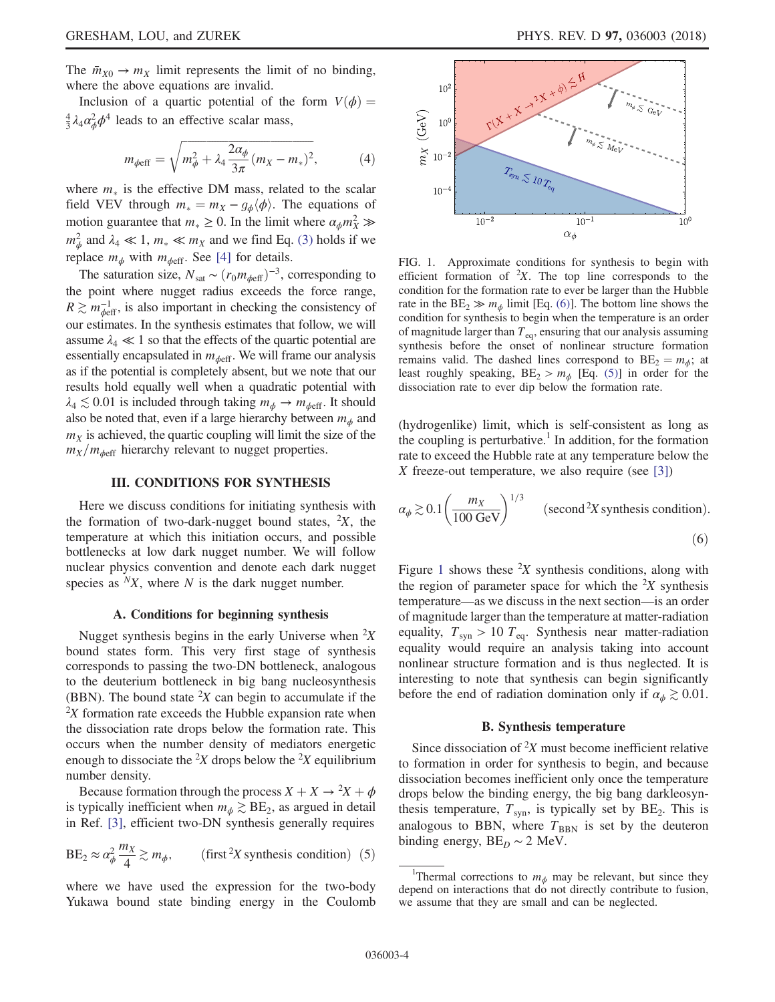The  $\bar{m}_{X0} \rightarrow m_X$  limit represents the limit of no binding, where the above equations are invalid.

Inclusion of a quartic potential of the form  $V(\phi) =$  $\frac{4}{3}\lambda_4\alpha_{\phi}^2\phi^4$  leads to an effective scalar mass,

$$
m_{\phi \text{eff}} = \sqrt{m_{\phi}^2 + \lambda_4 \frac{2\alpha_{\phi}}{3\pi} (m_X - m_*)^2},
$$
 (4)

where  $m_{\ast}$  is the effective DM mass, related to the scalar field VEV through  $m_* = m_X - g_\phi \langle \phi \rangle$ . The equations of motion guarantee that  $m_* \ge 0$ . In the limit where  $\alpha_{\phi} m_X^2 \gg$  $m_{\phi}^2$  and  $\lambda_4 \ll 1$ ,  $m_* \ll m_X$  and we find Eq. [\(3\)](#page-2-0) holds if we replace  $m_{\phi}$  with  $m_{\phi$ eff. See [\[4\]](#page-14-2) for details.

The saturation size,  $N_{\text{sat}} \sim (r_0 m_{\phi \text{eff}})^{-3}$ , corresponding to the point where nugget radius exceeds the force range,  $R \gtrsim m_{\phi\text{eff}}^{-1}$ , is also important in checking the consistency of our estimates. In the synthesis estimates that follow, we will assume  $\lambda_4 \ll 1$  so that the effects of the quartic potential are essentially encapsulated in  $m_{\phi\text{eff}}$ . We will frame our analysis as if the potential is completely absent, but we note that our results hold equally well when a quadratic potential with  $\lambda_4 \lesssim 0.01$  is included through taking  $m_{\phi} \rightarrow m_{\phi \text{eff}}$ . It should also be noted that, even if a large hierarchy between  $m_{\phi}$  and  $m<sub>X</sub>$  is achieved, the quartic coupling will limit the size of the  $m_X/m_{\phi\text{eff}}$  hierarchy relevant to nugget properties.

## III. CONDITIONS FOR SYNTHESIS

<span id="page-3-0"></span>Here we discuss conditions for initiating synthesis with the formation of two-dark-nugget bound states,  ${}^{2}X$ , the temperature at which this initiation occurs, and possible bottlenecks at low dark nugget number. We will follow nuclear physics convention and denote each dark nugget species as  $N_X$ , where N is the dark nugget number.

#### A. Conditions for beginning synthesis

<span id="page-3-4"></span>Nugget synthesis begins in the early Universe when  ${}^{2}X$ bound states form. This very first stage of synthesis corresponds to passing the two-DN bottleneck, analogous to the deuterium bottleneck in big bang nucleosynthesis (BBN). The bound state  ${}^{2}X$  can begin to accumulate if the  $2X$  formation rate exceeds the Hubble expansion rate when the dissociation rate drops below the formation rate. This occurs when the number density of mediators energetic enough to dissociate the <sup>2</sup>X drops below the <sup>2</sup>X equilibrium number density.

<span id="page-3-3"></span>Because formation through the process  $X + X \rightarrow {}^2X + \phi$ <br>typically inefficient when  $m \geq \text{RF}_2$  as aroued in detail is typically inefficient when  $m_{\phi} \gtrsim BE_2$ , as argued in detail in Ref. [\[3\]](#page-14-1), efficient two-DN synthesis generally requires

$$
BE_2 \approx \alpha_{\phi}^2 \frac{m_X}{4} \gtrsim m_{\phi}, \qquad \text{(first}^2 X \text{ synthesis condition)} \tag{5}
$$

where we have used the expression for the two-body Yukawa bound state binding energy in the Coulomb

<span id="page-3-1"></span>

FIG. 1. Approximate conditions for synthesis to begin with efficient formation of  ${}^{2}X$ . The top line corresponds to the condition for the formation rate to ever be larger than the Hubble rate in the  $BE_2 \gg m_{\phi}$  limit [Eq. [\(6\)\]](#page-3-2). The bottom line shows the condition for synthesis to begin when the temperature is an order of magnitude larger than  $T_{eq}$ , ensuring that our analysis assuming synthesis before the onset of nonlinear structure formation remains valid. The dashed lines correspond to  $BE_2 = m_\phi$ ; at least roughly speaking,  $BE_2 > m_{\phi}$  [Eq. [\(5\)](#page-3-3)] in order for the dissociation rate to ever dip below the formation rate.

(hydrogenlike) limit, which is self-consistent as long as the coupling is perturbative.<sup>1</sup> In addition, for the formation rate to exceed the Hubble rate at any temperature below the X freeze-out temperature, we also require (see [\[3\]](#page-14-1))

<span id="page-3-2"></span>
$$
\alpha_{\phi} \gtrsim 0.1 \left( \frac{m_X}{100 \text{ GeV}} \right)^{1/3} \qquad \text{(second}^2 X \text{ synthesis condition)}.
$$
\n(6)

Figure [1](#page-3-1) shows these  ${}^{2}X$  synthesis conditions, along with the region of parameter space for which the  $2X$  synthesis temperature—as we discuss in the next section—is an order of magnitude larger than the temperature at matter-radiation equality,  $T_{syn} > 10 T_{eq}$ . Synthesis near matter-radiation equality would require an analysis taking into account nonlinear structure formation and is thus neglected. It is interesting to note that synthesis can begin significantly before the end of radiation domination only if  $\alpha_{\phi} \gtrsim 0.01$ .

#### B. Synthesis temperature

<span id="page-3-5"></span>Since dissociation of  ${}^{2}X$  must become inefficient relative to formation in order for synthesis to begin, and because dissociation becomes inefficient only once the temperature drops below the binding energy, the big bang darkleosynthesis temperature,  $T_{syn}$ , is typically set by  $BE_2$ . This is analogous to BBN, where  $T_{BBN}$  is set by the deuteron binding energy,  $BE_D \sim 2$  MeV.

<sup>&</sup>lt;sup>1</sup>Thermal corrections to  $m_{\phi}$  may be relevant, but since they depend on interactions that do not directly contribute to fusion, we assume that they are small and can be neglected.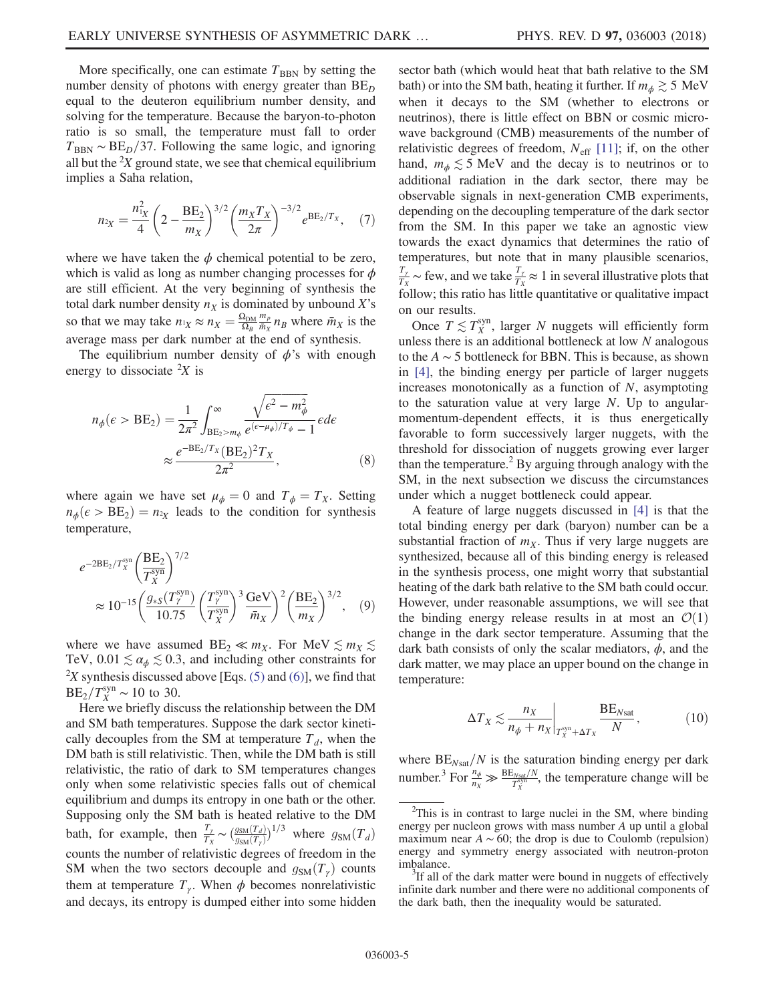More specifically, one can estimate  $T_{\rm BBN}$  by setting the number density of photons with energy greater than  $BE<sub>D</sub>$ equal to the deuteron equilibrium number density, and solving for the temperature. Because the baryon-to-photon ratio is so small, the temperature must fall to order  $T_{\text{BBN}} \sim BE_D/37$ . Following the same logic, and ignoring all but the  ${}^{2}X$  ground state, we see that chemical equilibrium implies a Saha relation,

$$
n_{2X} = \frac{n_{1X}^2}{4} \left( 2 - \frac{\text{BE}_2}{m_X} \right)^{3/2} \left( \frac{m_X T_X}{2\pi} \right)^{-3/2} e^{\text{BE}_2/T_X}, \quad (7)
$$

where we have taken the  $\phi$  chemical potential to be zero, which is valid as long as number changing processes for  $\phi$ are still efficient. At the very beginning of synthesis the total dark number density  $n<sub>X</sub>$  is dominated by unbound X's so that we may take  $n_1 \approx n_X = \frac{\Omega_{DM}}{\Omega_B}$  $\frac{m_p}{\bar{m}_X} n_B$  where  $\bar{m}_X$  is the average mass per dark number at the end of synthesis.

The equilibrium number density of  $\phi$ 's with enough energy to dissociate  ${}^{2}X$  is

$$
n_{\phi}(\epsilon > \text{BE}_2) = \frac{1}{2\pi^2} \int_{\text{BE}_2 > m_{\phi}}^{\infty} \frac{\sqrt{\epsilon^2 - m_{\phi}^2}}{e^{(\epsilon - \mu_{\phi})/T_{\phi}} - 1} \epsilon d\epsilon
$$

$$
\approx \frac{e^{-\text{BE}_2/T_X} (\text{BE}_2)^2 T_X}{2\pi^2},
$$
(8)

where again we have set  $\mu_{\phi} = 0$  and  $T_{\phi} = T_X$ . Setting  $n_{\phi}(\epsilon > BE_2) = n_{2X}$  leads to the condition for synthesis temperature temperature,

$$
e^{-2BE_2/T_X^{\text{syn}}} \left(\frac{BE_2}{T_X^{\text{syn}}}\right)^{7/2} \approx 10^{-15} \left(\frac{g_{*S}(T_Y^{\text{syn}})}{10.75} \left(\frac{T_Y^{\text{syn}}}{T_X^{\text{syn}}}\right)^3 \frac{\text{GeV}}{\bar{m}_X}\right)^2 \left(\frac{BE_2}{m_X}\right)^{3/2}, \quad (9)
$$

where we have assumed  $BE_2 \ll m_X$ . For MeV  $\lesssim m_X \lesssim$ TeV,  $0.01 \lesssim \alpha_{\phi} \lesssim 0.3$ , and including other constraints for  $2X$  synthesis discussed above [Eqs. [\(5\)](#page-3-3) and [\(6\)](#page-3-2)], we find that  $BE_2/T_X^{\text{syn}} \sim 10$  to 30.

Here we briefly discuss the relationship between the DM and SM bath temperatures. Suppose the dark sector kinetically decouples from the SM at temperature  $T<sub>d</sub>$ , when the DM bath is still relativistic. Then, while the DM bath is still relativistic, the ratio of dark to SM temperatures changes only when some relativistic species falls out of chemical equilibrium and dumps its entropy in one bath or the other. Supposing only the SM bath is heated relative to the DM bath, for example, then  $\frac{T_y}{T_X} \sim \left(\frac{g_{\text{SM}}(T_d)}{g_{\text{SM}}(T_\gamma)}\right)$  $\frac{g_{\text{SM}}(T_d)}{g_{\text{SM}}(T_f)}$ <sup>1/3</sup> where  $g_{\text{SM}}(T_d)$ counts the number of relativistic degrees of freedom in the SM when the two sectors decouple and  $g_{\text{SM}}(T_\gamma)$  counts them at temperature  $T_{\gamma}$ . When  $\phi$  becomes nonrelativistic and decays, its entropy is dumped either into some hidden sector bath (which would heat that bath relative to the SM bath) or into the SM bath, heating it further. If  $m_{\phi} \gtrsim 5$  MeV when it decays to the SM (whether to electrons or neutrinos), there is little effect on BBN or cosmic microwave background (CMB) measurements of the number of relativistic degrees of freedom,  $N_{\text{eff}}$  [\[11\];](#page-15-4) if, on the other hand,  $m_{\phi} \lesssim 5$  MeV and the decay is to neutrinos or to additional radiation in the dark sector, there may be observable signals in next-generation CMB experiments, depending on the decoupling temperature of the dark sector from the SM. In this paper we take an agnostic view towards the exact dynamics that determines the ratio of temperatures, but note that in many plausible scenarios,  $\frac{T_{\gamma}}{T_X}$  ~ few, and we take  $\frac{T_{\gamma}}{T_X} \approx 1$  in several illustrative plots that

Once  $T \lesssim T_X^{\text{syn}}$ , larger N nuggets will efficiently form unless there is an additional bottleneck at low  $N$  analogous to the  $A \sim 5$  bottleneck for BBN. This is because, as shown in [\[4\],](#page-14-2) the binding energy per particle of larger nuggets increases monotonically as a function of  $N$ , asymptoting to the saturation value at very large N. Up to angularmomentum-dependent effects, it is thus energetically favorable to form successively larger nuggets, with the threshold for dissociation of nuggets growing ever larger than the temperature.<sup>2</sup> By arguing through analogy with the SM, in the next subsection we discuss the circumstances under which a nugget bottleneck could appear.

follow; this ratio has little quantitative or qualitative impact

on our results.

A feature of large nuggets discussed in [\[4\]](#page-14-2) is that the total binding energy per dark (baryon) number can be a substantial fraction of  $m<sub>X</sub>$ . Thus if very large nuggets are synthesized, because all of this binding energy is released in the synthesis process, one might worry that substantial heating of the dark bath relative to the SM bath could occur. However, under reasonable assumptions, we will see that the binding energy release results in at most an  $\mathcal{O}(1)$ change in the dark sector temperature. Assuming that the dark bath consists of only the scalar mediators,  $\phi$ , and the dark matter, we may place an upper bound on the change in temperature:

$$
\Delta T_X \lesssim \frac{n_X}{n_\phi + n_X} \bigg|_{T_X^{\text{syn}} + \Delta T_X} \frac{\text{BE}_{N\text{sat}}}{N},\tag{10}
$$

where  $BE_{N\text{sat}}/N$  is the saturation binding energy per dark number.<sup>3</sup> For  $\frac{n_{\phi}}{n_X} \gg \frac{BE_{N\text{sat}}/N}{T_X^{\text{syn}}}$ , the temperature change will be

 $2$ This is in contrast to large nuclei in the SM, where binding energy per nucleon grows with mass number A up until a global maximum near  $A \sim 60$ ; the drop is due to Coulomb (repulsion) energy and symmetry energy associated with neutron-proton imbalance.

If all of the dark matter were bound in nuggets of effectively infinite dark number and there were no additional components of the dark bath, then the inequality would be saturated.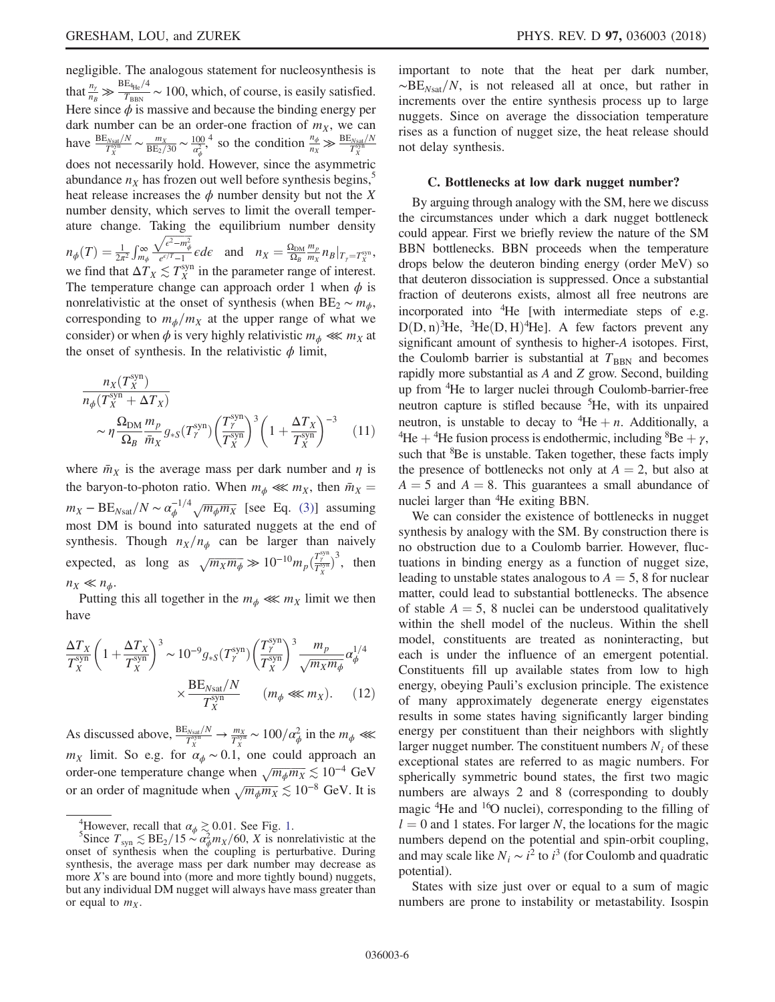negligible. The analogous statement for nucleosynthesis is that  $\frac{n_\gamma}{n_B} \gg \frac{BE_{4He}/4}{T_{BBN}} \sim 100$ , which, of course, is easily satisfied. Here since  $\phi$  is massive and because the binding energy per dark number can be an order-one fraction of  $m<sub>X</sub>$ , we can have  $\frac{BE_{Nsa}/N}{T_X^{syn}} \sim \frac{m_X}{BE_2/30} \sim \frac{100}{\alpha_\phi^2}$ , so the condition  $\frac{n_\phi}{n_X} \gg \frac{BE_{Nsa}/N}{T_X^{syn}}$ does not necessarily hold. However, since the asymmetric abundance  $n<sub>X</sub>$  has frozen out well before synthesis begins,<sup>5</sup> heat release increases the  $\phi$  number density but not the X number density, which serves to limit the overall temperature change. Taking the equilibrium number density  $n_{\phi}(T) = \frac{1}{2\pi^2} \int_{m_{\phi}}^{\infty}$  $\frac{\sqrt{\epsilon^2 - m_{\phi}^2}}{e^{\epsilon/T} - 1} \epsilon d\epsilon$  and  $n_X = \frac{\Omega_{DM}}{\Omega_B}$  $\frac{m_p}{m_X} n_B |_{T_\gamma = T_X^{\text{syn}}},$ we find that  $\Delta T_X \lesssim T_X^{\text{syn}}$  in the parameter range of interest. The temperature change can approach order 1 when  $\phi$  is nonrelativistic at the onset of synthesis (when BE<sub>2</sub>  $\sim m_{\phi}$ , corresponding to  $m_{\phi}/m_X$  at the upper range of what we consider) or when  $\phi$  is very highly relativistic  $m_{\phi} \ll m_X$  at

$$
\frac{n_X(T_X^{\text{syn}})}{n_\phi(T_X^{\text{syn}} + \Delta T_X)} \sim \eta \frac{\Omega_{\text{DM}}}{\Omega_B} \frac{m_p}{\bar{m}_X} g_{*S}(T_Y^{\text{syn}}) \left(\frac{T_Y^{\text{syn}}}{T_X^{\text{syn}}}\right)^3 \left(1 + \frac{\Delta T_X}{T_X^{\text{syn}}}\right)^{-3} \tag{11}
$$

the onset of synthesis. In the relativistic  $\phi$  limit,

where  $\bar{m}_X$  is the average mass per dark number and  $\eta$  is the baryon-to-photon ratio. When  $m_{\phi} \ll m_X$ , then  $\bar{m}_X$  =  $m_X - BE_{N\text{sat}}/N \sim \alpha_{\phi}^{-1/4} \sqrt{m_{\phi} m_X}$  [see Eq. [\(3\)](#page-2-0)] assuming most DM is bound into saturated nuggets at the end of synthesis. Though  $n_X/n_\phi$  can be larger than naively expected, as long as  $\sqrt{m_X m_\phi} \gg 10^{-10} m_p \left(\frac{T_\gamma^{\text{syn}}}{T_X^{\text{syn}}}\right)$  $3$ , then  $n_X \ll n_\phi$ .

Putting this all together in the  $m_{\phi} \ll m_X$  limit we then have

$$
\frac{\Delta T_X}{T_X^{\text{syn}}} \left( 1 + \frac{\Delta T_X}{T_X^{\text{syn}}}\right)^3 \sim 10^{-9} g_{*S}(T_Y^{\text{syn}}) \left(\frac{T_Y^{\text{syn}}}{T_X^{\text{syn}}}\right)^3 \frac{m_p}{\sqrt{m_X m_\phi}} \alpha_\phi^{1/4} \times \frac{\text{BE}_{N \text{sat}}/N}{T_X^{\text{syn}}} \qquad (m_\phi \ll m_X). \tag{12}
$$

As discussed above,  $\frac{BE_{Nsat}/N}{T_X^{syn}} \to \frac{m_X}{T_X^{syn}} \sim 100/\alpha_{\phi}^2$  in the  $m_{\phi} \ll$  $m_X$  limit. So e.g. for  $\alpha_{\phi} \sim 0.1$ , one could approach an order-one temperature change when  $\sqrt{m_{\phi}m_X} \lesssim 10^{-4}$  GeV or an order of magnitude when  $\sqrt{m_{\phi}m_X} \lesssim 10^{-8}$  GeV. It is important to note that the heat per dark number,  $~\sim$ BE<sub>Nsat</sub>/N, is not released all at once, but rather in increments over the entire synthesis process up to large nuggets. Since on average the dissociation temperature rises as a function of nugget size, the heat release should not delay synthesis.

#### C. Bottlenecks at low dark nugget number?

By arguing through analogy with the SM, here we discuss the circumstances under which a dark nugget bottleneck could appear. First we briefly review the nature of the SM BBN bottlenecks. BBN proceeds when the temperature drops below the deuteron binding energy (order MeV) so that deuteron dissociation is suppressed. Once a substantial fraction of deuterons exists, almost all free neutrons are incorporated into <sup>4</sup>He [with intermediate steps of e.g.  $D(D, n)^3$ He,  ${}^{3}$ He $(D, H)^4$ He]. A few factors prevent any significant amount of synthesis to higher-A isotones. First significant amount of synthesis to higher-A isotopes. First, the Coulomb barrier is substantial at  $T_{\text{BBN}}$  and becomes rapidly more substantial as A and Z grow. Second, building up from <sup>4</sup> He to larger nuclei through Coulomb-barrier-free neutron capture is stifled because <sup>5</sup> He, with its unpaired neutron, is unstable to decay to  ${}^{4}$ He + *n*. Additionally, a<br> ${}^{4}$ He +  ${}^{4}$ He fusion process is endothermic including  ${}^{8}$ Be +  $\nu$ <sup>4</sup>He + <sup>4</sup>He fusion process is endothermic, including <sup>8</sup>Be +  $\gamma$ ,<br>such that <sup>8</sup>Be is unstable. Taken together, these facts imply such that <sup>8</sup>Be is unstable. Taken together, these facts imply the presence of bottlenecks not only at  $A = 2$ , but also at  $A = 5$  and  $A = 8$ . This guarantees a small abundance of nuclei larger than <sup>4</sup> He exiting BBN.

We can consider the existence of bottlenecks in nugget synthesis by analogy with the SM. By construction there is no obstruction due to a Coulomb barrier. However, fluctuations in binding energy as a function of nugget size, leading to unstable states analogous to  $A = 5$ , 8 for nuclear matter, could lead to substantial bottlenecks. The absence of stable  $A = 5$ , 8 nuclei can be understood qualitatively within the shell model of the nucleus. Within the shell model, constituents are treated as noninteracting, but each is under the influence of an emergent potential. Constituents fill up available states from low to high energy, obeying Pauli's exclusion principle. The existence of many approximately degenerate energy eigenstates results in some states having significantly larger binding energy per constituent than their neighbors with slightly larger nugget number. The constituent numbers  $N_i$  of these exceptional states are referred to as magic numbers. For spherically symmetric bound states, the first two magic numbers are always 2 and 8 (corresponding to doubly magic <sup>4</sup>He and <sup>16</sup>O nuclei), corresponding to the filling of  $l = 0$  and 1 states. For larger N, the locations for the magic numbers depend on the potential and spin-orbit coupling, and may scale like  $N_i \sim i^2$  to  $i^3$  (for Coulomb and quadratic potential).

States with size just over or equal to a sum of magic numbers are prone to instability or metastability. Isospin

<sup>&</sup>lt;sup>4</sup>However, recall that  $\alpha_{\phi} \gtrsim 0.01$  $\alpha_{\phi} \gtrsim 0.01$ . See Fig. 1.<br>
Since  $T_{syn} \lesssim BE_2/15 \sim \alpha_{\phi}^2 m_X/60$ , X is nonrelativistic at the onset of synthesis when the coupling is perturbative. During synthesis, the average mass per dark number may decrease as more X's are bound into (more and more tightly bound) nuggets, but any individual DM nugget will always have mass greater than or equal to  $m<sub>x</sub>$ .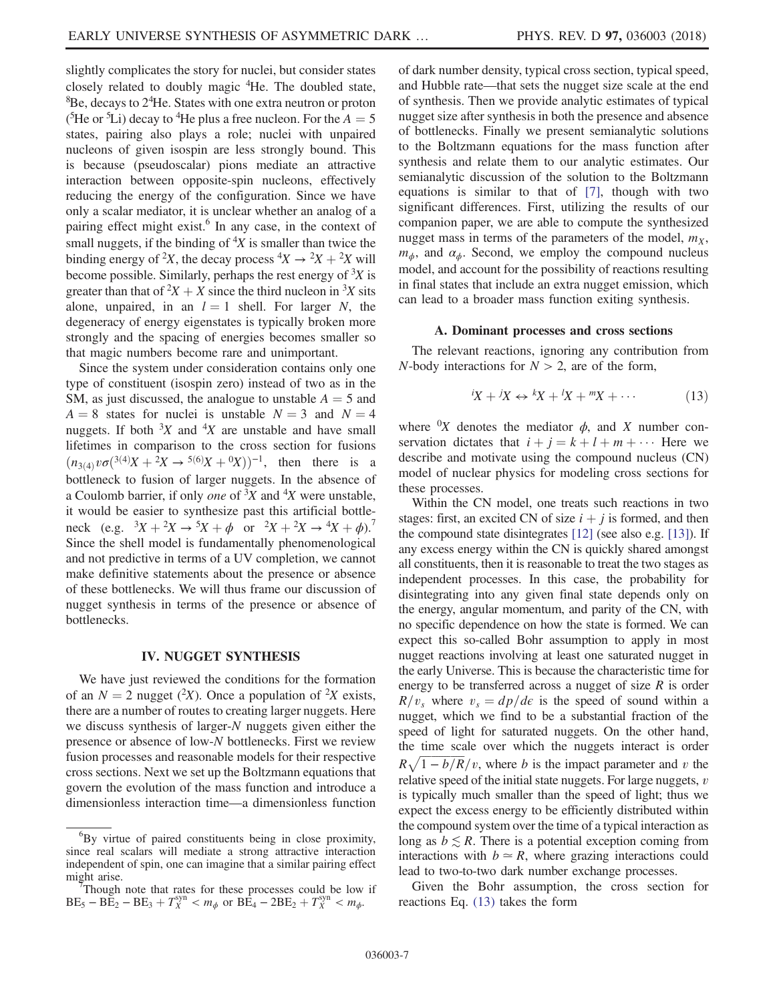slightly complicates the story for nuclei, but consider states closely related to doubly magic <sup>4</sup>He. The doubled state,  ${}^{8}$ Be, decays to  $2^{4}$ He. States with one extra neutron or proton ( ${}^{5}$ He or  ${}^{5}$ Li) decay to  ${}^{4}$ He plus a free nucleon. For the  $A = 5$  states pairing also plays a role: nuclei with unpaired states, pairing also plays a role; nuclei with unpaired nucleons of given isospin are less strongly bound. This is because (pseudoscalar) pions mediate an attractive interaction between opposite-spin nucleons, effectively reducing the energy of the configuration. Since we have only a scalar mediator, it is unclear whether an analog of a pairing effect might exist. $6$  In any case, in the context of small nuggets, if the binding of  $4X$  is smaller than twice the binding energy of <sup>2</sup>X, the decay process  ${}^4X \rightarrow {}^2X + {}^2X$  will<br>become possible. Similarly, perhaps the rest energy of <sup>3</sup>X is become possible. Similarly, perhaps the rest energy of  $X$  is greater than that of  ${}^2X + X$  since the third nucleon in  ${}^3X$  sits<br>alone unpaired in an  $I - 1$  shell. For larger N, the alone, unpaired, in an  $l = 1$  shell. For larger N, the degeneracy of energy eigenstates is typically broken more strongly and the spacing of energies becomes smaller so that magic numbers become rare and unimportant.

Since the system under consideration contains only one type of constituent (isospin zero) instead of two as in the SM, as just discussed, the analogue to unstable  $A = 5$  and  $A = 8$  states for nuclei is unstable  $N = 3$  and  $N = 4$ nuggets. If both  ${}^{3}X$  and  ${}^{4}X$  are unstable and have small lifetimes in comparison to the cross section for fusions  $(n_{3(4)}v\sigma(^{3(4)}X+2X\rightarrow^{5(6)}X+{}^{0}X))^{-1}$ , then there is a hottleneck to fusion of larger nuggests. In the absence of bottleneck to fusion of larger nuggets. In the absence of a Coulomb barrier, if only *one* of  $X^3X$  and  $X^4X$  were unstable, it would be easier to synthesize past this artificial bottleneck (e.g.  ${}^{3}X + {}^{2}X \rightarrow {}^{5}X + \phi$  or  ${}^{2}X + {}^{2}X \rightarrow {}^{4}X + \phi$ ).<sup>7</sup><br>Since the shell model is fundamentally phenomenological Since the shell model is fundamentally phenomenological and not predictive in terms of a UV completion, we cannot make definitive statements about the presence or absence of these bottlenecks. We will thus frame our discussion of nugget synthesis in terms of the presence or absence of bottlenecks.

### IV. NUGGET SYNTHESIS

<span id="page-6-0"></span>We have just reviewed the conditions for the formation of an  $N = 2$  nugget (<sup>2</sup>X). Once a population of <sup>2</sup>X exists,<br>there are a number of routes to creating larger nuggets. Here there are a number of routes to creating larger nuggets. Here we discuss synthesis of larger-N nuggets given either the presence or absence of low-N bottlenecks. First we review fusion processes and reasonable models for their respective cross sections. Next we set up the Boltzmann equations that govern the evolution of the mass function and introduce a dimensionless interaction time—a dimensionless function of dark number density, typical cross section, typical speed, and Hubble rate—that sets the nugget size scale at the end of synthesis. Then we provide analytic estimates of typical nugget size after synthesis in both the presence and absence of bottlenecks. Finally we present semianalytic solutions to the Boltzmann equations for the mass function after synthesis and relate them to our analytic estimates. Our semianalytic discussion of the solution to the Boltzmann equations is similar to that of [\[7\]](#page-15-0), though with two significant differences. First, utilizing the results of our companion paper, we are able to compute the synthesized nugget mass in terms of the parameters of the model,  $m<sub>X</sub>$ ,  $m_{\phi}$ , and  $\alpha_{\phi}$ . Second, we employ the compound nucleus model, and account for the possibility of reactions resulting in final states that include an extra nugget emission, which can lead to a broader mass function exiting synthesis.

### A. Dominant processes and cross sections

<span id="page-6-2"></span><span id="page-6-1"></span>The relevant reactions, ignoring any contribution from N-body interactions for  $N > 2$ , are of the form,

$$
{}^{i}X + {}^{j}X \leftrightarrow {}^{k}X + {}^{l}X + {}^{m}X + \cdots \tag{13}
$$

where  $\partial X$  denotes the mediator  $\phi$ , and X number conservation dictates that  $i + j = k + l + m + \cdots$  Here we describe and motivate using the compound nucleus (CN) model of nuclear physics for modeling cross sections for these processes.

Within the CN model, one treats such reactions in two stages: first, an excited CN of size  $i + j$  is formed, and then the compound state disintegrates [\[12\]](#page-15-5) (see also e.g. [\[13\]\)](#page-15-6). If any excess energy within the CN is quickly shared amongst all constituents, then it is reasonable to treat the two stages as independent processes. In this case, the probability for disintegrating into any given final state depends only on the energy, angular momentum, and parity of the CN, with no specific dependence on how the state is formed. We can expect this so-called Bohr assumption to apply in most nugget reactions involving at least one saturated nugget in the early Universe. This is because the characteristic time for energy to be transferred across a nugget of size  $R$  is order  $R/v_s$  where  $v_s = dp/d\epsilon$  is the speed of sound within a nugget, which we find to be a substantial fraction of the speed of light for saturated nuggets. On the other hand, the time scale over which the nuggets interact is order  $R\sqrt{1-b/R}/v$ , where b is the impact parameter and v the relative speed of the initial state nuggets. For large nuggets,  $v$ is typically much smaller than the speed of light; thus we expect the excess energy to be efficiently distributed within the compound system over the time of a typical interaction as long as  $b \lesssim R$ . There is a potential exception coming from interactions with  $b \approx R$ , where grazing interactions could lead to two-to-two dark number exchange processes.

Given the Bohr assumption, the cross section for reactions Eq. [\(13\)](#page-6-1) takes the form

<sup>6</sup> By virtue of paired constituents being in close proximity, since real scalars will mediate a strong attractive interaction independent of spin, one can imagine that a similar pairing effect might arise.

Though note that rates for these processes could be low if  $BE_5 - BE_2 - BE_3 + T_X^{syn} < m_{\phi}$  or  $BE_4 - 2BE_2 + T_X^{syn} < m_{\phi}$ .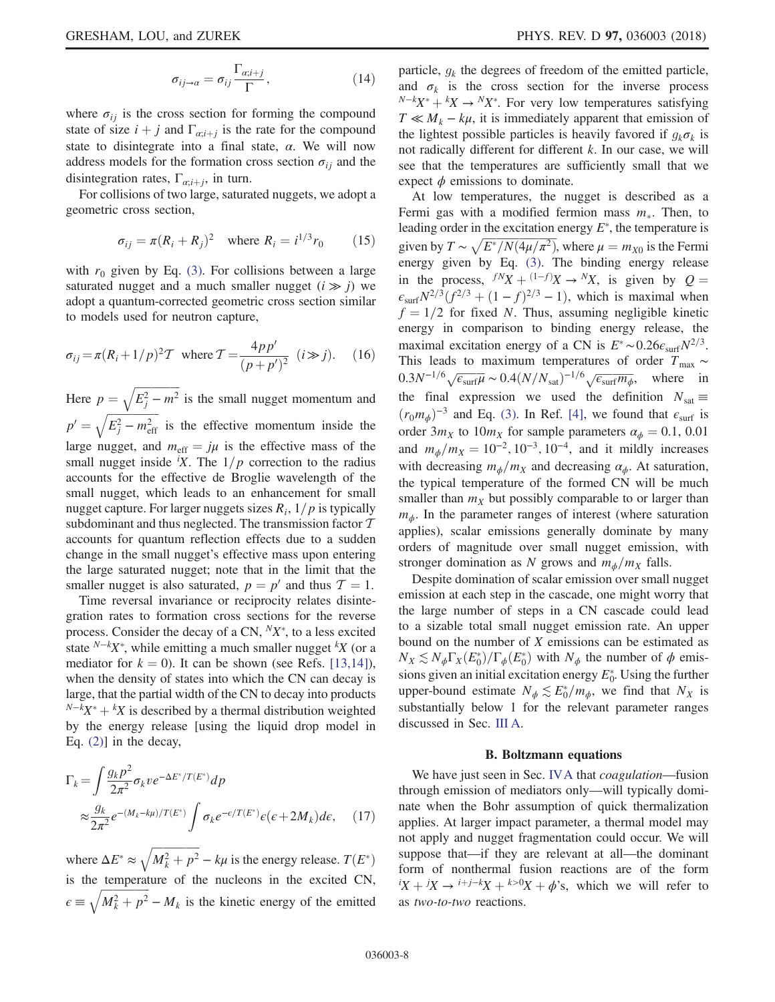$$
\sigma_{ij \to a} = \sigma_{ij} \frac{\Gamma_{\alpha;i+j}}{\Gamma}, \qquad (14)
$$

where  $\sigma_{ij}$  is the cross section for forming the compound state of size  $i + j$  and  $\Gamma_{\alpha;i+j}$  is the rate for the compound state to disintegrate into a final state,  $\alpha$ . We will now address models for the formation cross section  $\sigma_{ii}$  and the disintegration rates,  $\Gamma_{\alpha i+j}$ , in turn.

For collisions of two large, saturated nuggets, we adopt a geometric cross section,

$$
\sigma_{ij} = \pi (R_i + R_j)^2 \quad \text{where } R_i = i^{1/3} r_0 \qquad (15)
$$

with  $r_0$  given by Eq. [\(3\).](#page-2-0) For collisions between a large saturated nugget and a much smaller nugget  $(i \gg j)$  we adopt a quantum-corrected geometric cross section similar to models used for neutron capture,

$$
\sigma_{ij} = \pi (R_i + 1/p)^2 T
$$
 where  $T = \frac{4pp'}{(p+p')^2}$   $(i \gg j)$ . (16)

Here  $p = \sqrt{E_j^2 - m^2}$  is the small nugget momentum and  $p' = \sqrt{E_j^2 - m_{\text{eff}}^2}$  is the effective momentum inside the large nugget, and  $m_{\text{eff}} = j\mu$  is the effective mass of the small nugget inside  $(X<sup>i</sup>X)$ . The  $1/p$  correction to the radius accounts for the effective de Broglie wavelength of the small nugget, which leads to an enhancement for small nugget capture. For larger nuggets sizes  $R_i$ ,  $1/p$  is typically subdominant and thus neglected. The transmission factor  $T$ accounts for quantum reflection effects due to a sudden change in the small nugget's effective mass upon entering the large saturated nugget; note that in the limit that the smaller nugget is also saturated,  $p = p'$  and thus  $T = 1$ .

Time reversal invariance or reciprocity relates disintegration rates to formation cross sections for the reverse process. Consider the decay of a CN,  $N_X^*$ , to a less excited state  $N-kX^*$ , while emitting a much smaller nugget  $K$  (or a mediator for  $k = 0$ ). It can be shown (see Refs. [\[13,14\]](#page-15-6)), when the density of states into which the CN can decay is large, that the partial width of the CN to decay into products  $N-kX^* + kX$  is described by a thermal distribution weighted<br>by the energy release fusing the liquid drop model in by the energy release [using the liquid drop model in Eq. [\(2\)\]](#page-2-1) in the decay,

<span id="page-7-0"></span>
$$
\Gamma_k = \int \frac{g_k p^2}{2\pi^2} \sigma_k v e^{-\Delta E^* / T(E^*)} dp
$$
  
 
$$
\approx \frac{g_k}{2\pi^2} e^{-(M_k - k\mu) / T(E^*)} \int \sigma_k e^{-\epsilon / T(E^*)} \epsilon(\epsilon + 2M_k) d\epsilon, \quad (17)
$$

where  $\Delta E^* \approx \sqrt{M_k^2 + p^2} - k\mu$  is the energy release.  $T(E^*)$ is the temperature of the nucleons in the excited CN,  $\epsilon \equiv \sqrt{M_k^2 + p^2} - M_k$  is the kinetic energy of the emitted particle,  $g_k$  the degrees of freedom of the emitted particle, and  $\sigma_k$  is the cross section for the inverse process  $N-kX^* +{}^kX \rightarrow {}^NX^*$ . For very low temperatures satisfying  $T \nless M$ . – ku, it is immediately apparent that emission of  $T \ll M_k - k\mu$ , it is immediately apparent that emission of the lightest possible particles is heavily favored if  $g_k \sigma_k$  is not radically different for different k. In our case, we will see that the temperatures are sufficiently small that we expect  $\phi$  emissions to dominate.

At low temperatures, the nugget is described as a Fermi gas with a modified fermion mass  $m_{\ast}$ . Then, to leading order in the excitation energy  $E^*$ , the temperature is given by  $T \sim \sqrt{E^*/N(4\mu/\pi^2)}$ , where  $\mu = m_{X0}$  is the Fermi energy given by Eq. [\(3\).](#page-2-0) The binding energy release in the process,  $f^N X + (1-f)X \rightarrow {}^N X$ , is given by  $Q =$ <br> $g = N^{2/3} (f^{2/3} + (1-f)^{2/3} - 1)$  which is maximal when  $\epsilon_{\text{surf}}N^{2/3}(f^{2/3}+(1-f)^{2/3}-1)$ , which is maximal when  $f = 1/2$  for fixed N. Thus, assuming negligible kinetic energy in comparison to binding energy release, the maximal excitation energy of a CN is  $E^* \sim 0.26 \epsilon_{\text{surf}} N^{2/3}$ . This leads to maximum temperatures of order  $T_{\text{max}} \sim$  $0.3N^{-1/6}\sqrt{\epsilon_{\text{surf}}\mu} \sim 0.4(N/N_{\text{sat}})^{-1/6}\sqrt{\epsilon_{\text{surf}}m_{\phi}},$  where in the final expression we used the definition  $N_{\text{sat}} \equiv$  $(r_0m_\phi)^{-3}$  and Eq. [\(3\).](#page-2-0) In Ref. [\[4\]](#page-14-2), we found that  $\epsilon_{\rm surf}$  is order  $3m_X$  to  $10m_X$  for sample parameters  $\alpha_{\phi} = 0.1, 0.01$ and  $m_{\phi}/m_X = 10^{-2}$ , 10<sup>-3</sup>, 10<sup>-4</sup>, and it mildly increases with decreasing  $m_{\phi}/m_X$  and decreasing  $\alpha_{\phi}$ . At saturation, the typical temperature of the formed CN will be much smaller than  $m<sub>X</sub>$  but possibly comparable to or larger than  $m<sub>φ</sub>$ . In the parameter ranges of interest (where saturation applies), scalar emissions generally dominate by many orders of magnitude over small nugget emission, with stronger domination as N grows and  $m_{\phi}/m_X$  falls.

Despite domination of scalar emission over small nugget emission at each step in the cascade, one might worry that the large number of steps in a CN cascade could lead to a sizable total small nugget emission rate. An upper bound on the number of  $X$  emissions can be estimated as  $N_X \lesssim N_\phi \Gamma_X(E_0^*)/\Gamma_\phi(E_0^*)$  with  $N_\phi$  the number of  $\phi$  emis-<br>sions given an initial excitation energy  $F^*$ . Using the further sions given an initial excitation energy  $E_0^*$ . Using the further upper-bound estimate  $N_{\phi} \lesssim E_0^*/m_{\phi}$ , we find that  $N_X$  is substantially below 1 for the relevant parameter ranges discussed in Sec. [III A](#page-3-4).

#### B. Boltzmann equations

We have just seen in Sec. [IVA](#page-6-2) that *coagulation*—fusion through emission of mediators only—will typically dominate when the Bohr assumption of quick thermalization applies. At larger impact parameter, a thermal model may not apply and nugget fragmentation could occur. We will suppose that—if they are relevant at all—the dominant form of nonthermal fusion reactions are of the form  $iX + iX \rightarrow i+j-kX + k>0X + \phi$ 's, which we will refer to as two-to-two reactions.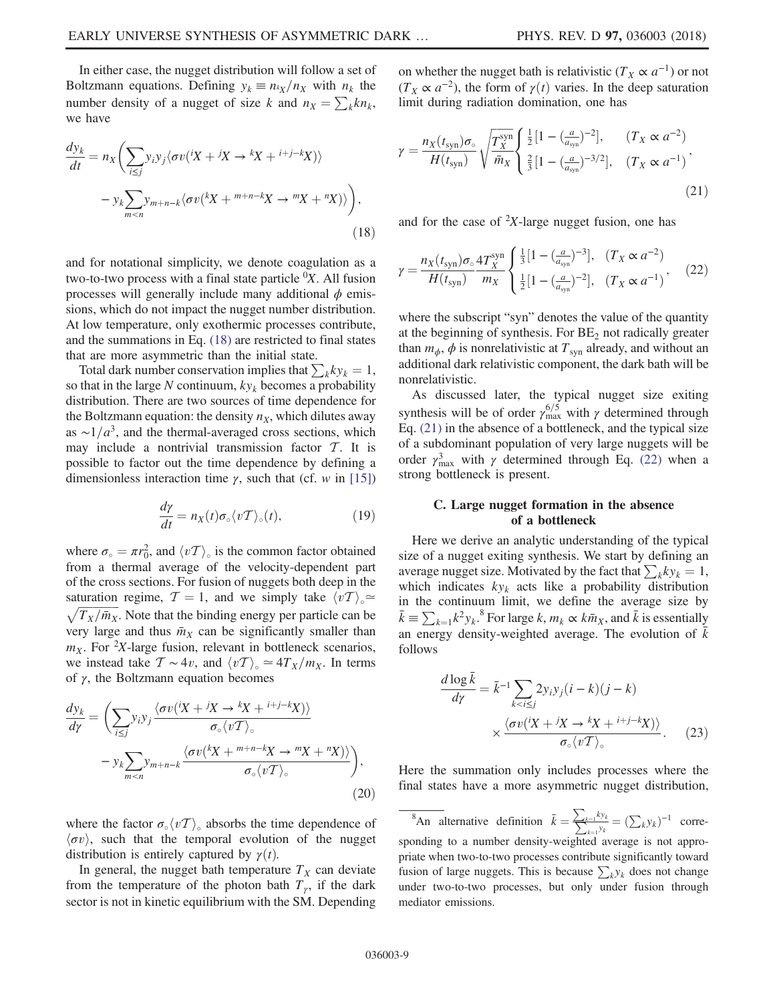In either case, the nugget distribution will follow a set of Boltzmann equations. Defining  $y_k \equiv n_k / n_x$  with  $n_k$  the number density of a nugget of size k and  $n_X = \sum_k k n_k$ , we have

<span id="page-8-0"></span>
$$
\frac{dy_k}{dt} = n_X \left( \sum_{i \le j} y_i y_j \langle \sigma v(^iX + jX \to {}^k X + {}^{i+j-k} X) \rangle \right)
$$

$$
- y_k \sum_{m < n} y_{m+n-k} \langle \sigma v(^k X + {}^{m+n-k} X \to {}^m X + {}^n X) \rangle \right), \tag{18}
$$

and for notational simplicity, we denote coagulation as a two-to-two process with a final state particle  ${}^0X$ . All fusion processes will generally include many additional  $\phi$  emissions, which do not impact the nugget number distribution. At low temperature, only exothermic processes contribute, and the summations in Eq. [\(18\)](#page-8-0) are restricted to final states that are more asymmetric than the initial state.

Total dark number conservation implies that  $\sum_k ky_k = 1$ , so that in the large N continuum,  $ky_k$  becomes a probability distribution. There are two sources of time dependence for the Boltzmann equation: the density  $n<sub>X</sub>$ , which dilutes away as  $\sim 1/a^3$ , and the thermal-averaged cross sections, which may include a nontrivial transmission factor  $T$ . It is possible to factor out the time dependence by defining a dimensionless interaction time  $\gamma$ , such that (cf. w in [\[15\]\)](#page-15-7)

$$
\frac{d\gamma}{dt} = n_X(t)\sigma_\circ \langle vT \rangle_\circ(t),\tag{19}
$$

where  $\sigma_{\circ} = \pi r_0^2$ , and  $\langle vT \rangle_{\circ}$  is the common factor obtained<br>from a thermal average of the velocity-dependent part from a thermal average of the velocity-dependent part of the cross sections. For fusion of nuggets both deep in the saturation regime,  $T = 1$ , and we simply take  $\langle vT \rangle_{\circ} \approx$  $\sqrt{T_X/\bar{m}_X}$ . Note that the binding energy per particle can be very large and thus  $\bar{m}_X$  can be significantly smaller than  $m_X$ . For <sup>2</sup>X-large fusion, relevant in bottleneck scenarios, we instead take  $T \sim 4v$ , and  $\langle vT \rangle_{\circ} \simeq 4T_X/m_X$ . In terms of γ, the Boltzmann equation becomes

<span id="page-8-4"></span>
$$
\frac{dy_k}{d\gamma} = \left(\sum_{i\leq j} y_i y_j \frac{\langle \sigma v(iX + iX \to {^k}X + {^{i+j-k}X}) \rangle}{\sigma_{\circ} \langle v\mathcal{T} \rangle_{\circ}} - y_k \sum_{m < n} y_{m+n-k} \frac{\langle \sigma v({^k}X + {^{m+n-k}X \to {^m}X + {^n}X}) \rangle}{\sigma_{\circ} \langle v\mathcal{T} \rangle_{\circ}}\right),\tag{20}
$$

where the factor  $\sigma_{\circ}\langle vT \rangle_{\circ}$  absorbs the time dependence of  $\langle \sigma v \rangle$ , such that the temporal evolution of the nugget distribution is entirely captured by  $\gamma(t)$ .

In general, the nugget bath temperature  $T_X$  can deviate from the temperature of the photon bath  $T_{\gamma}$ , if the dark sector is not in kinetic equilibrium with the SM. Depending <span id="page-8-1"></span>on whether the nugget bath is relativistic ( $T_X \propto a^{-1}$ ) or not  $(T_X \propto a^{-2})$ , the form of  $\gamma(t)$  varies. In the deep saturation limit during radiation domination, one has

$$
\gamma = \frac{n_X(t_{syn})\sigma_{\circ}}{H(t_{syn})} \sqrt{\frac{T_X^{syn}}{\bar{m}_X}} \begin{cases} \frac{1}{2} [1 - (\frac{a}{a_{syn}})^{-2}], & (T_X \propto a^{-2})\\ \frac{2}{3} [1 - (\frac{a}{a_{syn}})^{-3/2}], & (T_X \propto a^{-1}) \end{cases}
$$
\n(21)

<span id="page-8-2"></span>and for the case of  $2X$ -large nugget fusion, one has

$$
\gamma = \frac{n_X(t_{syn})\sigma_{\circ}}{H(t_{syn})} \frac{4T_X^{syn}}{m_X} \begin{cases} \frac{1}{3} [1 - (\frac{a}{a_{syn}})^{-3}], & (T_X \propto a^{-2})\\ \frac{1}{2} [1 - (\frac{a}{a_{syn}})^{-2}], & (T_X \propto a^{-1}) \end{cases}
$$
 (22)

where the subscript "syn" denotes the value of the quantity at the beginning of synthesis. For  $BE<sub>2</sub>$  not radically greater than  $m_{\phi}$ ,  $\phi$  is nonrelativistic at  $T_{syn}$  already, and without an additional dark relativistic component, the dark bath will be nonrelativistic.

As discussed later, the typical nugget size exiting synthesis will be of order  $\gamma_{\text{max}}^{6/5}$  with  $\gamma$  determined through Eq. [\(21\)](#page-8-1) in the absence of a bottleneck, and the typical size of a subdominant population of very large nuggets will be order  $\gamma_{\text{max}}^3$  with  $\gamma$  determined through Eq. [\(22\)](#page-8-2) when a strong bottleneck is present.

### <span id="page-8-5"></span>C. Large nugget formation in the absence of a bottleneck

Here we derive an analytic understanding of the typical size of a nugget exiting synthesis. We start by defining an average nugget size. Motivated by the fact that  $\sum_k ky_k = 1$ , which indicates  $ky_k$  acts like a probability distribution in the continuum limit, we define the average size by  $\bar{k} \equiv \sum_{k=1} k^2 y_k$ .<sup>8</sup> For large k,  $m_k \propto k \bar{m}_x$ , and  $\bar{k}$  is essentially an energy density-weighted average. The evolution of  $\bar{k}$ follows

<span id="page-8-3"></span>
$$
\frac{d \log \bar{k}}{d\gamma} = \bar{k}^{-1} \sum_{k < i \le j} 2y_i y_j (i - k)(j - k)
$$
\n
$$
\times \frac{\langle \sigma v (iX + iX \to {}^{k}X + {}^{i+j-k}X) \rangle}{\sigma_{\circ} \langle vT \rangle_{\circ}}.
$$
\n(23)

Here the summation only includes processes where the final states have a more asymmetric nugget distribution,

<sup>8</sup>An alternative definition  $\bar{k} = \frac{\sum_{k=1}^{k} k y_k}{\sum_{k=1}^{k} y_k}$ sponding to a number density-weighted average is not appro- $\frac{\omega_k}{y_k} = (\sum_k y_k)^{-1}$  correpriate when two-to-two processes contribute significantly toward fusion of large nuggets. This is because  $\sum_k y_k$  does not change under two-to-two processes, but only under fusion through mediator emissions.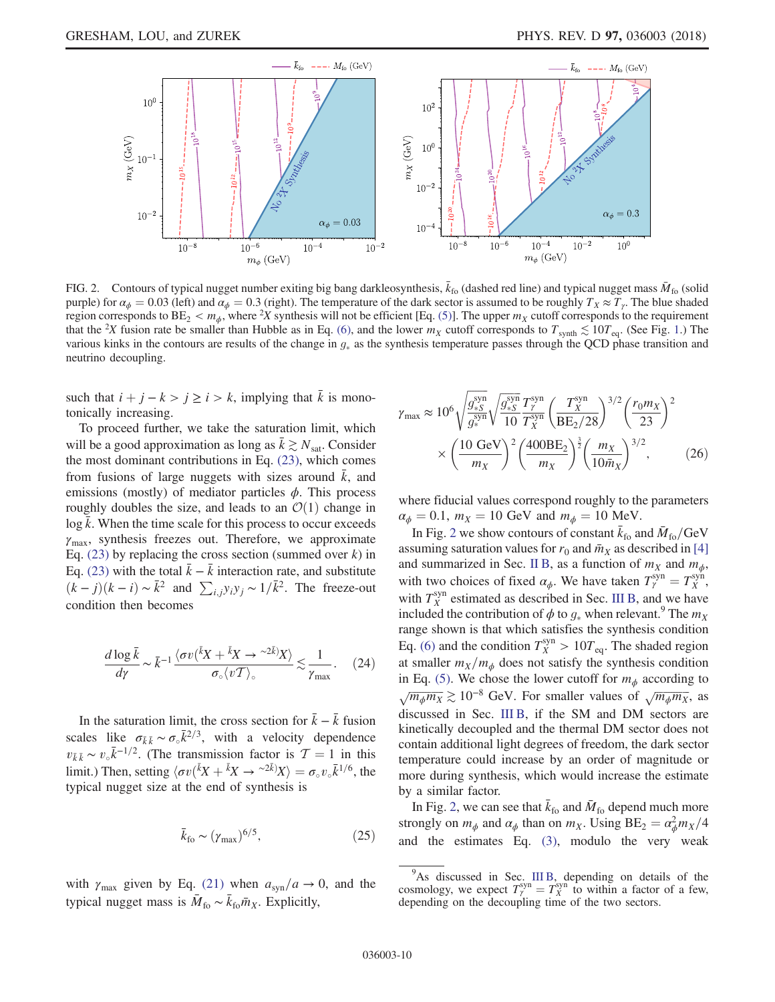<span id="page-9-0"></span>

FIG. 2. Contours of typical nugget number exiting big bang darkleosynthesis,  $\bar{k}_{f0}$  (dashed red line) and typical nugget mass  $\bar{M}_{f0}$  (solid purple) for  $\alpha_{\phi} = 0.03$  (left) and  $\alpha_{\phi} = 0.3$  (right). The temperature of the dark sector is assumed to be roughly  $T_X \approx T_Y$ . The blue shaded region corresponds to  $BE_2 < m_{\phi}$ , where <sup>2</sup>X synthesis will not be efficient [Eq. [\(5\)](#page-3-3)]. The upper  $m_X$  cutoff corresponds to the requirement that the <sup>2</sup>X fusion rate be smaller than Hubble as in Eq. [\(6\)](#page-3-2), and the lower  $m_X$  cutoff corresponds to  $T_{\text{synth}} \lesssim 10 T_{\text{eq}}$  $T_{\text{synth}} \lesssim 10 T_{\text{eq}}$  $T_{\text{synth}} \lesssim 10 T_{\text{eq}}$ . (See Fig. 1.) The various kinks in the contours are results of the change in  $g_*$  as the synthesis temperature passes through the QCD phase transition and neutrino decoupling.

such that  $i + j - k > j \ge i > k$ , implying that  $\bar{k}$  is monotonically increasing.

To proceed further, we take the saturation limit, which will be a good approximation as long as  $\bar{k} \gtrsim N_{\text{sat}}$ . Consider the most dominant contributions in Eq. [\(23\)](#page-8-3), which comes from fusions of large nuggets with sizes around  $\bar{k}$ , and emissions (mostly) of mediator particles  $\phi$ . This process roughly doubles the size, and leads to an  $\mathcal{O}(1)$  change in  $\log \bar{k}$ . When the time scale for this process to occur exceeds  $\gamma_{\text{max}}$ , synthesis freezes out. Therefore, we approximate Eq. [\(23\)](#page-8-3) by replacing the cross section (summed over  $k$ ) in Eq. [\(23\)](#page-8-3) with the total  $\bar{k} - \bar{k}$  interaction rate, and substitute  $(k - j)(k - i) \sim \bar{k}^2$  and  $\sum_{i,j} y_i y_j \sim 1/\bar{k}^2$ . The freeze-out condition then becomes

$$
\frac{d\log\bar{k}}{d\gamma} \sim \bar{k}^{-1} \frac{\langle \sigma v(\bar{k}X + \bar{k}X \to \sim^{2\bar{k}})X \rangle}{\sigma_{\circ} \langle v\mathcal{T} \rangle_{\circ}} \lesssim \frac{1}{\gamma_{\text{max}}}.
$$
 (24)

In the saturation limit, the cross section for  $k - k$  fusion scales like  $\sigma_{\bar{k}\bar{k}} \sim \sigma_{\circ} \bar{k}^{2/3}$ , with a velocity dependence  $v_{\bar{k}\bar{k}} \sim v_{\circ} \bar{k}^{-1/2}$ . (The transmission factor is  $\mathcal{T} = 1$  in this limit). Then estting  $(zv/\bar{k}v + \bar{k}v + z^2\bar{k})v = z + \bar{k}^{1/6}$  the limit.) Then, setting  $\langle \sigma v (kX + kX - \gamma^{2k}X) \rangle = \sigma_{\circ} v_{\circ} k^{1/6}$ , the typical nugget size at the end of synthesis is typical nugget size at the end of synthesis is

$$
\bar{k}_{\text{fo}} \sim (\gamma_{\text{max}})^{6/5},\tag{25}
$$

with  $\gamma_{\text{max}}$  given by Eq. [\(21\)](#page-8-1) when  $a_{\text{syn}}/a \rightarrow 0$ , and the typical nugget mass is  $\overline{M}_{\text{fo}} \sim \overline{k}_{\text{fo}} \overline{m}_X$ . Explicitly,

$$
\gamma_{\text{max}} \approx 10^6 \sqrt{\frac{g_{*S}^{\text{syn}}}{g_{*}^{\text{syn}}}} \sqrt{\frac{g_{*S}^{\text{syn}}}{10}} \frac{T_{\gamma}^{\text{syn}}}{T_{X}^{\text{syn}}}\left(\frac{T_{X}^{\text{syn}}}{BE_2/28}\right)^{3/2} \left(\frac{r_0 m_X}{23}\right)^2
$$

$$
\times \left(\frac{10 \text{ GeV}}{m_X}\right)^2 \left(\frac{400BE_2}{m_X}\right)^{\frac{3}{2}} \left(\frac{m_X}{10 \bar{m}_X}\right)^{3/2},\tag{26}
$$

where fiducial values correspond roughly to the parameters  $\alpha_{\phi} = 0.1$ ,  $m_X = 10 \text{ GeV}$  and  $m_{\phi} = 10 \text{ MeV}$ .

In Fig. [2](#page-9-0) we show contours of constant  $\bar{k}_{\text{fo}}$  and  $\bar{M}_{\text{fo}}$ /GeV assuming saturation values for  $r_0$  and  $\bar{m}_X$  as described in [\[4\]](#page-14-2) and summarized in Sec. [II B,](#page-2-2) as a function of  $m<sub>X</sub>$  and  $m<sub>\phi</sub>$ , with two choices of fixed  $\alpha_{\phi}$ . We have taken  $T_{\gamma}^{\text{syn}} = T_{X}^{\text{syn}}$ , with  $T_X^{\text{syn}}$  estimated as described in Sec. [III B,](#page-3-5) and we have included the contribution of  $\phi$  to  $g_*$  when relevant.<sup>9</sup> The  $m_X$ range shown is that which satisfies the synthesis condition Eq. [\(6\)](#page-3-2) and the condition  $T_X^{\text{syn}} > 10T_{\text{eq}}$ . The shaded region at smaller  $m_X/m_\phi$  does not satisfy the synthesis condition in Eq. [\(5\).](#page-3-3) We chose the lower cutoff for  $m_{\phi}$  according to  $\sqrt{m_{\phi}m_X} \gtrsim 10^{-8}$  GeV. For smaller values of  $\sqrt{m_{\phi}m_X}$ , as discussed in Sec. [III B,](#page-3-5) if the SM and DM sectors are kinetically decoupled and the thermal DM sector does not contain additional light degrees of freedom, the dark sector temperature could increase by an order of magnitude or more during synthesis, which would increase the estimate by a similar factor.

In Fig. [2,](#page-9-0) we can see that  $\bar{k}_{\text{fo}}$  and  $\bar{M}_{\text{fo}}$  depend much more strongly on  $m_{\phi}$  and  $\alpha_{\phi}$  than on  $m_{X}$ . Using  $BE_{2} = \alpha_{\phi}^{2} m_{X}/4$ and the estimates Eq. [\(3\)](#page-2-0), modulo the very weak

<sup>&</sup>lt;sup>9</sup>As discussed in Sec. [III B,](#page-3-5) depending on details of the cosmology, we expect  $T_{\gamma}^{\text{syn}} = T_X^{\text{syn}}$  to within a factor of a few, depending on the decoupling time of the two sectors. depending on the decoupling time of the two sectors.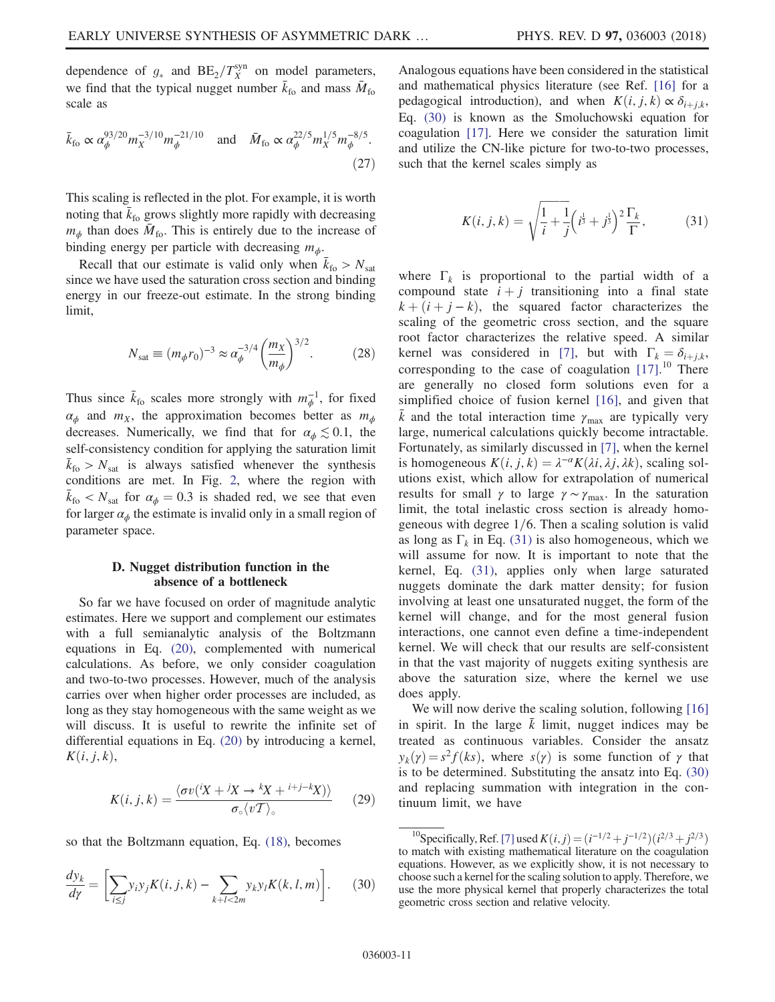dependence of  $g_*$  and  $BE_2/T_X^{syn}$  on model parameters, we find that the typical nugget number  $\bar{k}_{\text{fo}}$  and mass  $\bar{M}_{\text{fo}}$ scale as

$$
\bar{k}_{\text{fo}} \propto \alpha_{\phi}^{93/20} m_{X}^{-3/10} m_{\phi}^{-21/10} \quad \text{and} \quad \bar{M}_{\text{fo}} \propto \alpha_{\phi}^{22/5} m_{X}^{1/5} m_{\phi}^{-8/5}.
$$
\n(27)

This scaling is reflected in the plot. For example, it is worth noting that  $\bar{k}_{\text{fo}}$  grows slightly more rapidly with decreasing  $m_{\phi}$  than does  $\bar{M}_{\text{fo}}$ . This is entirely due to the increase of binding energy per particle with decreasing  $m<sub>φ</sub>$ .

Recall that our estimate is valid only when  $\bar{k}_{\text{fo}} > N_{\text{sat}}$ since we have used the saturation cross section and binding energy in our freeze-out estimate. In the strong binding limit,

$$
N_{\rm sat} \equiv (m_{\phi} r_0)^{-3} \approx \alpha_{\phi}^{-3/4} \left(\frac{m_X}{m_{\phi}}\right)^{3/2}.
$$
 (28)

Thus since  $\bar{k}_{\text{fo}}$  scales more strongly with  $m_{\phi}^{-1}$ , for fixed  $\alpha_{\phi}$  and  $m_X$ , the approximation becomes better as  $m_{\phi}$ decreases. Numerically, we find that for  $\alpha_{\phi} \lesssim 0.1$ , the self-consistency condition for applying the saturation limit  $\bar{k}_{\text{fo}} > N_{\text{sat}}$  is always satisfied whenever the synthesis conditions are met. In Fig. [2](#page-9-0), where the region with  $\bar{k}_{\text{fo}} < N_{\text{sat}}$  for  $\alpha_{\phi} = 0.3$  is shaded red, we see that even for larger  $\alpha$ , the estimate is involid only in a small region of for larger  $\alpha_{\phi}$  the estimate is invalid only in a small region of parameter space.

## <span id="page-10-2"></span>D. Nugget distribution function in the absence of a bottleneck

So far we have focused on order of magnitude analytic estimates. Here we support and complement our estimates with a full semianalytic analysis of the Boltzmann equations in Eq. [\(20\)](#page-8-4), complemented with numerical calculations. As before, we only consider coagulation and two-to-two processes. However, much of the analysis carries over when higher order processes are included, as long as they stay homogeneous with the same weight as we will discuss. It is useful to rewrite the infinite set of differential equations in Eq. [\(20\)](#page-8-4) by introducing a kernel,  $K(i, j, k),$ 

$$
K(i, j, k) = \frac{\langle \sigma v(iX + iX \to {}^{k}X + {}^{i+j-k}X) \rangle}{\sigma_{\circ} \langle vT \rangle_{\circ}}
$$
 (29)

<span id="page-10-0"></span>so that the Boltzmann equation, Eq. [\(18\),](#page-8-0) becomes

$$
\frac{dy_k}{d\gamma} = \left[\sum_{i \le j} y_i y_j K(i, j, k) - \sum_{k+l < 2m} y_k y_l K(k, l, m)\right].\tag{30}
$$

Analogous equations have been considered in the statistical and mathematical physics literature (see Ref. [\[16\]](#page-15-8) for a pedagogical introduction), and when  $K(i, j, k) \propto \delta_{i+j,k}$ , Eq. [\(30\)](#page-10-0) is known as the Smoluchowski equation for coagulation [\[17\].](#page-15-9) Here we consider the saturation limit and utilize the CN-like picture for two-to-two processes, such that the kernel scales simply as

<span id="page-10-1"></span>
$$
K(i, j, k) = \sqrt{\frac{1}{i} + \frac{1}{j}} \left( i^{\frac{1}{3}} + j^{\frac{1}{3}} \right)^2 \frac{\Gamma_k}{\Gamma},
$$
 (31)

where  $\Gamma_k$  is proportional to the partial width of a compound state  $i + j$  transitioning into a final state  $k + (i + j - k)$ , the squared factor characterizes the scaling of the geometric cross section, and the square root factor characterizes the relative speed. A similar kernel was considered in [\[7\]](#page-15-0), but with  $\Gamma_k = \delta_{i+j,k}$ , corresponding to the case of coagulation  $[17]$ .<sup>10</sup> There are generally no closed form solutions even for a simplified choice of fusion kernel [\[16\],](#page-15-8) and given that k and the total interaction time  $\gamma_{\text{max}}$  are typically very large, numerical calculations quickly become intractable. Fortunately, as similarly discussed in [\[7\],](#page-15-0) when the kernel is homogeneous  $K(i, j, k) = \lambda^{-\alpha} K(\lambda i, \lambda j, \lambda k)$ , scaling solutions exist, which allow for extrapolation of numerical results for small  $\gamma$  to large  $\gamma \sim \gamma_{\text{max}}$ . In the saturation limit, the total inelastic cross section is already homogeneous with degree  $1/6$ . Then a scaling solution is valid as long as  $\Gamma_k$  in Eq. [\(31\)](#page-10-1) is also homogeneous, which we will assume for now. It is important to note that the kernel, Eq. [\(31\),](#page-10-1) applies only when large saturated nuggets dominate the dark matter density; for fusion involving at least one unsaturated nugget, the form of the kernel will change, and for the most general fusion interactions, one cannot even define a time-independent kernel. We will check that our results are self-consistent in that the vast majority of nuggets exiting synthesis are above the saturation size, where the kernel we use does apply.

We will now derive the scaling solution, following [\[16\]](#page-15-8) in spirit. In the large  $k$  limit, nugget indices may be treated as continuous variables. Consider the ansatz  $y_k(\gamma) = s^2 f(ks)$ , where  $s(\gamma)$  is some function of  $\gamma$  that is to be determined. Substituting the ansatz into Eq. [\(30\)](#page-10-0) and replacing summation with integration in the continuum limit, we have

<sup>&</sup>lt;sup>10</sup>Specifically, Ref. [\[7\]](#page-15-0) used  $K(i, j) = (i^{-1/2} + j^{-1/2})(i^{2/3} + j^{2/3})$  match with existing mathematical literature on the coagulation to match with existing mathematical literature on the coagulation equations. However, as we explicitly show, it is not necessary to choose such a kernel for the scaling solution to apply. Therefore, we use the more physical kernel that properly characterizes the total geometric cross section and relative velocity.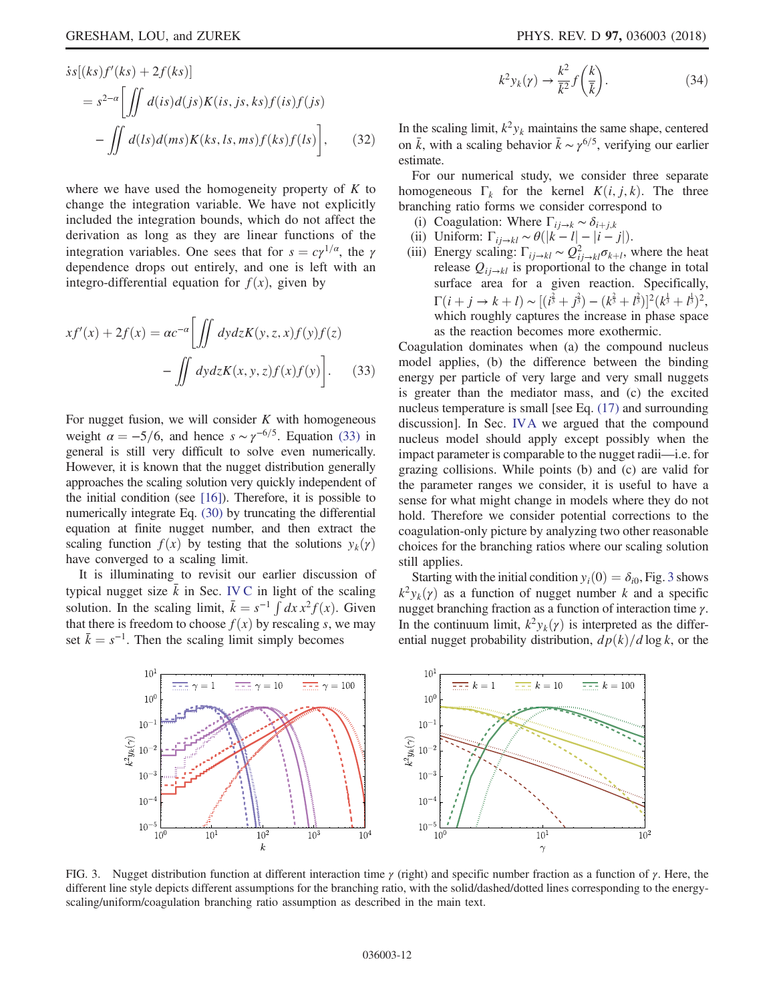$$
\dot{s}s[(ks)f'(ks) + 2f(ks)]
$$
  
=  $s^{2-\alpha} \Biggl[ \iint d(is)d(is)K(is,js,ks)f(is)f(is)$   
- 
$$
\iint d(ls)d(ms)K(ks, ls, ms)f(ks)f(ls) \Biggr],
$$
 (32)

where we have used the homogeneity property of  $K$  to change the integration variable. We have not explicitly included the integration bounds, which do not affect the derivation as long as they are linear functions of the integration variables. One sees that for  $s = c\gamma^{1/\alpha}$ , the γ dependence drops out entirely, and one is left with an integro-differential equation for  $f(x)$ , given by

<span id="page-11-0"></span>
$$
xf'(x) + 2f(x) = ac^{-\alpha} \left[ \iint dy dz K(y, z, x) f(y) f(z) - \iint dy dz K(x, y, z) f(x) f(y) \right].
$$
 (33)

For nugget fusion, we will consider  $K$  with homogeneous weight  $\alpha = -5/6$ , and hence  $s \sim \gamma^{-6/5}$ . Equation [\(33\)](#page-11-0) in general is still very difficult to solve even numerically. However, it is known that the nugget distribution generally approaches the scaling solution very quickly independent of the initial condition (see [\[16\]](#page-15-8)). Therefore, it is possible to numerically integrate Eq. [\(30\)](#page-10-0) by truncating the differential equation at finite nugget number, and then extract the scaling function  $f(x)$  by testing that the solutions  $y_k(y)$ have converged to a scaling limit.

<span id="page-11-2"></span>It is illuminating to revisit our earlier discussion of typical nugget size  $\bar{k}$  in Sec. [IV C](#page-8-5) in light of the scaling solution. In the scaling limit,  $\bar{k} = s^{-1} \int dx x^2 f(x)$ . Given<br>that there is freedom to choose  $f(x)$  by rescaling s, we may that there is freedom to choose  $f(x)$  by rescaling s, we may set  $\bar{k} = s^{-1}$ . Then the scaling limit simply becomes

$$
k^2 y_k(\gamma) \to \frac{k^2}{\bar{k}^2} f\left(\frac{k}{\bar{k}}\right). \tag{34}
$$

In the scaling limit,  $k^2 y_k$  maintains the same shape, centered on  $\bar{k}$ , with a scaling behavior  $\bar{k} \sim \gamma^{6/5}$ , verifying our earlier estimate.

For our numerical study, we consider three separate homogeneous  $\Gamma_k$  for the kernel  $K(i, j, k)$ . The three branching ratio forms we consider correspond to

- (i) Coagulation: Where  $\Gamma_{i,j\to k} \sim \delta_{i+j,k}$
- 
- (ii) Uniform:  $\Gamma_{ij \to kl} \sim \theta(|k l| |i j|)$ .<br>(iii) Energy scaling:  $\Gamma_{ij \to kl} \sim Q_{ij \to kl}^2 \sigma_{k+l}$ , where the heat release  $Q_{ij \to kl}$  is proportional to the change in total surface area for a given reaction. Specifically,  $\Gamma(i + j \rightarrow k + l) \sim [(\vec{i}^3 + \vec{j}^3) - (\vec{k}^3 + \vec{l}^3)]^2 (\vec{k}^{\frac{1}{3}} + \vec{l}^{\frac{1}{3}})^2$ ,<br>which roughly cantures the increase in phase space which roughly captures the increase in phase space as the reaction becomes more exothermic.

Coagulation dominates when (a) the compound nucleus model applies, (b) the difference between the binding energy per particle of very large and very small nuggets is greater than the mediator mass, and (c) the excited nucleus temperature is small [see Eq. [\(17\)](#page-7-0) and surrounding discussion]. In Sec. [IVA](#page-6-2) we argued that the compound nucleus model should apply except possibly when the impact parameter is comparable to the nugget radii—i.e. for grazing collisions. While points (b) and (c) are valid for the parameter ranges we consider, it is useful to have a sense for what might change in models where they do not hold. Therefore we consider potential corrections to the coagulation-only picture by analyzing two other reasonable choices for the branching ratios where our scaling solution still applies.

Starting with the initial condition  $y_i(0) = \delta_{i0}$ , Fig. [3](#page-11-1) shows  $k^2y_k(\gamma)$  as a function of nugget number k and a specific nugget branching fraction as a function of interaction time  $\gamma$ . In the continuum limit,  $k^2 y_k(\gamma)$  is interpreted as the differential nugget probability distribution,  $dp(k)/d \log k$ , or the

<span id="page-11-1"></span>

FIG. 3. Nugget distribution function at different interaction time  $\gamma$  (right) and specific number fraction as a function of  $\gamma$ . Here, the different line style depicts different assumptions for the branching ratio, with the solid/dashed/dotted lines corresponding to the energyscaling/uniform/coagulation branching ratio assumption as described in the main text.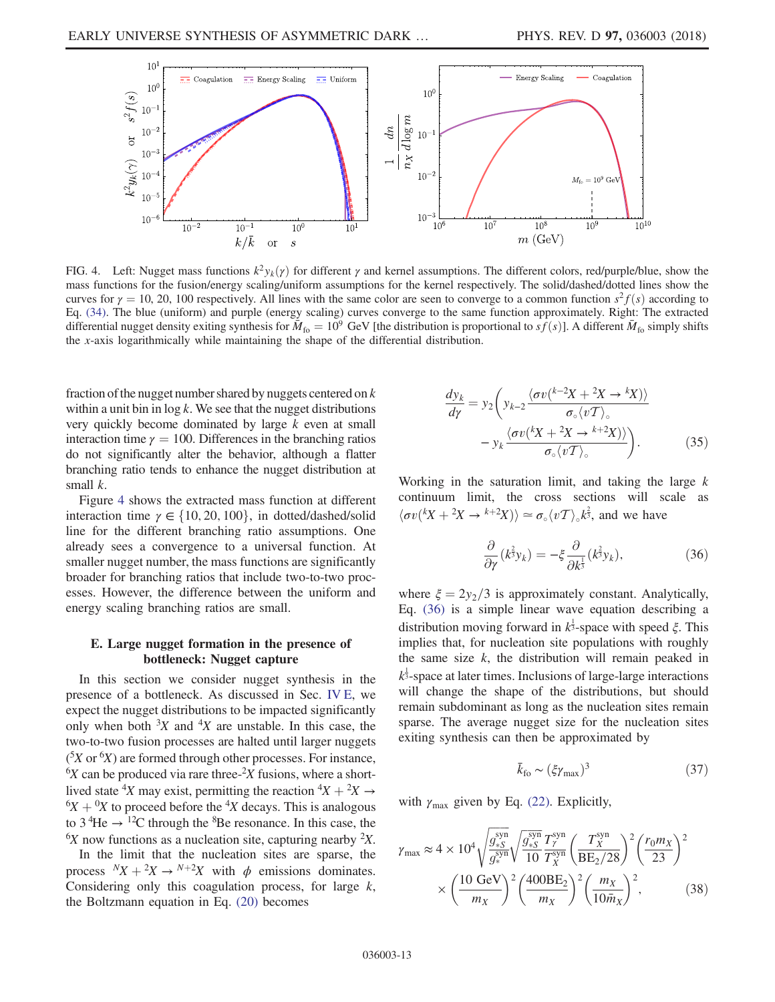<span id="page-12-0"></span>

FIG. 4. Left: Nugget mass functions  $k^2y_k(y)$  for different  $\gamma$  and kernel assumptions. The different colors, red/purple/blue, show the mass functions for the fusion/energy scaling/uniform assumptions for the kernel respectively. The solid/dashed/dotted lines show the curves for  $\gamma = 10$ , 20, 100 respectively. All lines with the same color are seen to converge to a common function  $s^2f(s)$  according to Eq. [\(34\).](#page-11-2) The blue (uniform) and purple (energy scaling) curves converge to the same function approximately. Right: The extracted differential nugget density exiting synthesis for  $\overline{M}_{\text{fo}} = 10^9$  GeV [the distribution is proportional to  $s\overline{f}(s)$ ]. A different  $\overline{M}_{\text{fo}}$  simply shifts the x-axis logarithmically while maintaining the shape of the differential distribution.

fraction of the nugget number shared by nuggets centered on  $k$ within a unit bin in  $log k$ . We see that the nugget distributions very quickly become dominated by large  $k$  even at small interaction time  $\gamma = 100$ . Differences in the branching ratios do not significantly alter the behavior, although a flatter branching ratio tends to enhance the nugget distribution at small  $k$ .

Figure [4](#page-12-0) shows the extracted mass function at different interaction time  $\gamma \in \{10, 20, 100\}$ , in dotted/dashed/solid line for the different branching ratio assumptions. One already sees a convergence to a universal function. At smaller nugget number, the mass functions are significantly broader for branching ratios that include two-to-two processes. However, the difference between the uniform and energy scaling branching ratios are small.

#### <span id="page-12-1"></span>E. Large nugget formation in the presence of bottleneck: Nugget capture

In this section we consider nugget synthesis in the presence of a bottleneck. As discussed in Sec. [IV E](#page-12-1), we expect the nugget distributions to be impacted significantly only when both  ${}^{3}X$  and  ${}^{4}X$  are unstable. In this case, the two-to-two fusion processes are halted until larger nuggets  $({}^5X$  or  ${}^6X$ ) are formed through other processes. For instance,  ${}^{6}X$  can be produced via rare three- ${}^{2}X$  fusions, where a shortlived state <sup>4</sup>X may exist, permitting the reaction  ${}^4X + {}^2X \rightarrow {}^6Y + {}^0Y$  to proceed before the <sup>4</sup>X decays. This is analogous  ${}^{6}X + {}^{0}X$  to proceed before the <sup>4</sup>X decays. This is analogous to  $3 \times 12$ C through the <sup>8</sup>Be resonance. In this case, the to 3<sup>4</sup>He  $\rightarrow$  <sup>12</sup>C through the <sup>8</sup>Be resonance. In this case, the  $6X$  now functions as a nucleation site, capturing nearby  $2X$ .

In the limit that the nucleation sites are sparse, the process  ${}^N X + {}^2 X \rightarrow {}^{N+2} X$  with  $\phi$  emissions dominates.<br>Considering only this coagulation process for large k Considering only this coagulation process, for large  $k$ , the Boltzmann equation in Eq. [\(20\)](#page-8-4) becomes

$$
\frac{dy_k}{d\gamma} = y_2 \left( y_{k-2} \frac{\langle \sigma v^{(k-2)} + 2X \to {^k}X \rangle \rangle}{\sigma_{\circ} \langle v \mathcal{T} \rangle_{\circ}} - y_k \frac{\langle \sigma v^{(k)} + 2X \to {^{k+2}}X \rangle \rangle}{\sigma_{\circ} \langle v \mathcal{T} \rangle_{\circ}} \right). \tag{35}
$$

<span id="page-12-2"></span>Working in the saturation limit, and taking the large  $k$ continuum limit, the cross sections will scale as  $\langle \sigma v (kX + 2X \to k+2X) \rangle \simeq \sigma_{\circ} \langle v \mathcal{T} \rangle_{\circ} k^{\frac{2}{3}}$ , and we have

$$
\frac{\partial}{\partial \gamma}(k^{\frac{2}{3}}y_k) = -\xi \frac{\partial}{\partial k^{\frac{1}{3}}}(k^{\frac{2}{3}}y_k),\tag{36}
$$

where  $\xi = 2y_2/3$  is approximately constant. Analytically, Eq. [\(36\)](#page-12-2) is a simple linear wave equation describing a distribution moving forward in  $k^{\frac{1}{3}}$ -space with speed  $\xi$ . This implies that, for nucleation site populations with roughly the same size  $k$ , the distribution will remain peaked in  $k^{\frac{1}{3}}$ -space at later times. Inclusions of large-large interactions will change the shape of the distributions, but should remain subdominant as long as the nucleation sites remain sparse. The average nugget size for the nucleation sites exiting synthesis can then be approximated by

$$
\bar{k}_{\text{fo}} \sim (\xi \gamma_{\text{max}})^3 \tag{37}
$$

with  $\gamma_{\text{max}}$  given by Eq. [\(22\)](#page-8-2). Explicitly,

$$
\gamma_{\text{max}} \approx 4 \times 10^4 \sqrt{\frac{g_{*S}^{\text{syn}}}{g_*^{\text{syn}}}} \sqrt{\frac{g_{*S}^{\text{syn}}}{10}} \frac{T_{\gamma}^{\text{syn}}}{T_{X}^{\text{syn}}} \left(\frac{T_{X}^{\text{syn}}}{BE_2/28}\right)^2 \left(\frac{r_0 m_X}{23}\right)^2 \times \left(\frac{10 \text{ GeV}}{m_X}\right)^2 \left(\frac{400BE_2}{m_X}\right)^2 \left(\frac{m_X}{10 \bar{m}_X}\right)^2, \tag{38}
$$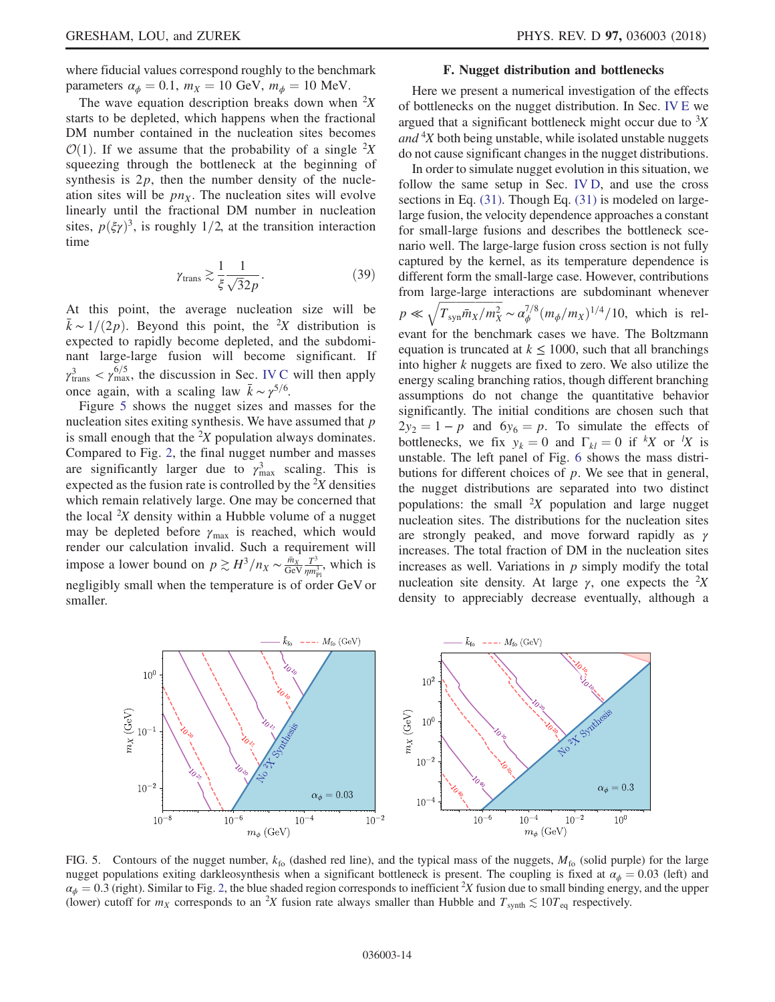where fiducial values correspond roughly to the benchmark parameters  $\alpha_{\phi} = 0.1$ ,  $m_X = 10$  GeV,  $m_{\phi} = 10$  MeV.

The wave equation description breaks down when  ${}^{2}X$ starts to be depleted, which happens when the fractional DM number contained in the nucleation sites becomes  $\mathcal{O}(1)$ . If we assume that the probability of a single  ${}^2X$ <br>squeezing through the bottleneck at the beginning of squeezing through the bottleneck at the beginning of synthesis is  $2p$ , then the number density of the nucleation sites will be  $pn_x$ . The nucleation sites will evolve linearly until the fractional DM number in nucleation sites,  $p(\xi \gamma)^3$ , is roughly 1/2, at the transition interaction time

$$
\gamma_{\text{trans}} \gtrsim \frac{1}{\xi} \frac{1}{\sqrt{3}2p}.
$$
 (39)

At this point, the average nucleation size will be  $k \sim 1/(2p)$ . Beyond this point, the <sup>2</sup>X distribution is expected to rapidly become depleted and the subdomiexpected to rapidly become depleted, and the subdominant large-large fusion will become significant. If  $\gamma_{\text{trans}}^3 < \gamma_{\text{max}}^{6/5}$ , the discussion in Sec. [IV C](#page-8-5) will then apply once again, with a scaling law  $\bar{k} \sim \gamma^{5/6}$ .

Figure [5](#page-13-0) shows the nugget sizes and masses for the nucleation sites exiting synthesis. We have assumed that  $p$ is small enough that the  ${}^{2}X$  population always dominates. Compared to Fig. [2](#page-9-0), the final nugget number and masses are significantly larger due to  $\gamma_{\text{max}}^3$  scaling. This is expected as the fusion rate is controlled by the  $2X$  densities which remain relatively large. One may be concerned that the local  $2X$  density within a Hubble volume of a nugget may be depleted before  $\gamma_{\text{max}}$  is reached, which would render our calculation invalid. Such a requirement will impose a lower bound on  $p \gtrsim H^3/n_X \sim \frac{\bar{m}_X}{\text{GeV}} \frac{T^3}{\eta m_{\text{Pl}}^3}$ , which is negligibly small when the temperature is of order GeV or smaller.

### F. Nugget distribution and bottlenecks

Here we present a numerical investigation of the effects of bottlenecks on the nugget distribution. In Sec. [IV E](#page-12-1) we argued that a significant bottleneck might occur due to  ${}^{3}X$ and  $4X$  both being unstable, while isolated unstable nuggets do not cause significant changes in the nugget distributions.

In order to simulate nugget evolution in this situation, we follow the same setup in Sec. [IV D](#page-10-2), and use the cross sections in Eq. [\(31\)](#page-10-1). Though Eq. (31) is modeled on largelarge fusion, the velocity dependence approaches a constant for small-large fusions and describes the bottleneck scenario well. The large-large fusion cross section is not fully captured by the kernel, as its temperature dependence is different form the small-large case. However, contributions from large-large interactions are subdominant whenever  $p \ll \sqrt{T_{\text{syn}} \bar{m}_X/m_X^2} \sim \alpha_\phi^{7/8} (m_\phi/m_X)^{1/4} / 10$ , which is relevant for the benchmark cases we have. The Boltzmann equation is truncated at  $k \le 1000$ , such that all branchings into higher k nuggets are fixed to zero. We also utilize the energy scaling branching ratios, though different branching assumptions do not change the quantitative behavior significantly. The initial conditions are chosen such that  $2y_2 = 1 - p$  and  $6y_6 = p$ . To simulate the effects of bottlenecks, we fix  $y_k = 0$  and  $\Gamma_{kl} = 0$  if  ${}^kX$  or  ${}^lX$  is<br>unstable. The left panel of Fig. 6 shows the mass distriunstable. The left panel of Fig. [6](#page-14-5) shows the mass distributions for different choices of  $p$ . We see that in general, the nugget distributions are separated into two distinct populations: the small  ${}^{2}X$  population and large nugget nucleation sites. The distributions for the nucleation sites are strongly peaked, and move forward rapidly as  $\gamma$ increases. The total fraction of DM in the nucleation sites increases as well. Variations in  $p$  simply modify the total nucleation site density. At large  $\gamma$ , one expects the <sup>2</sup>X density to appreciably decrease eventually, although a

<span id="page-13-0"></span>

FIG. 5. Contours of the nugget number,  $k_{\text{fo}}$  (dashed red line), and the typical mass of the nuggets,  $M_{\text{fo}}$  (solid purple) for the large nugget populations exiting darkleosynthesis when a significant bottleneck is present. The coupling is fixed at  $\alpha_{\phi} = 0.03$  (left) and  $\alpha_{\phi} = 0.3$  (right). Similar to Fig. [2](#page-9-0), the blue shaded region corresponds to inefficient <sup>2</sup>X fusion due to small binding energy, and the upper (lower) cutoff for  $m_{\nu}$  corresponds to an <sup>2</sup>X fusion rate always small (lower) cutoff for  $m_X$  corresponds to an <sup>2</sup>X fusion rate always smaller than Hubble and  $T_{\text{synth}} \lesssim 10T_{\text{eq}}$  respectively.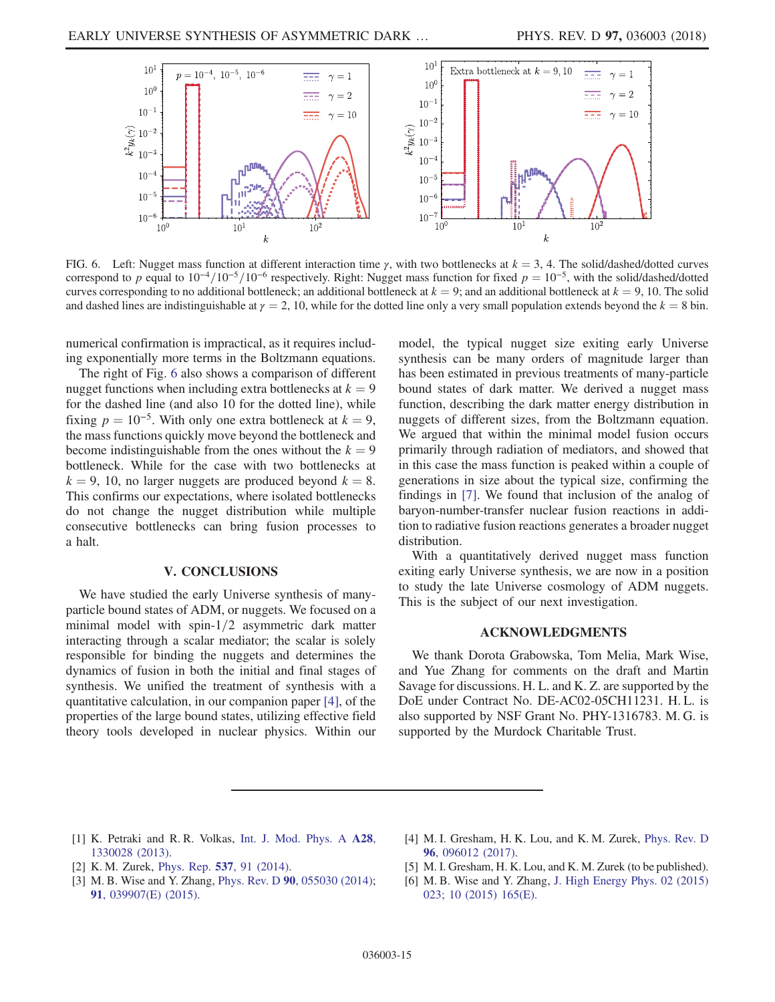<span id="page-14-5"></span>

FIG. 6. Left: Nugget mass function at different interaction time  $\gamma$ , with two bottlenecks at  $k = 3, 4$ . The solid/dashed/dotted curves correspond to p equal to  $10^{-4}/10^{-5}/10^{-6}$  respectively. Right: Nugget mass function for fixed  $p = 10^{-5}$ , with the solid/dashed/dotted curves corresponding to no additional bottleneck; an additional bottleneck at  $k = 9$ ; and an additional bottleneck at  $k = 9$ , 10. The solid and dashed lines are indistinguishable at  $\gamma = 2$ , 10, while for the dotted line only a very small population extends beyond the  $k = 8$  bin.

numerical confirmation is impractical, as it requires including exponentially more terms in the Boltzmann equations.

The right of Fig. [6](#page-14-5) also shows a comparison of different nugget functions when including extra bottlenecks at  $k = 9$ for the dashed line (and also 10 for the dotted line), while fixing  $p = 10^{-5}$ . With only one extra bottleneck at  $k = 9$ , the mass functions quickly move beyond the bottleneck and become indistinguishable from the ones without the  $k = 9$ bottleneck. While for the case with two bottlenecks at  $k = 9$ , 10, no larger nuggets are produced beyond  $k = 8$ . This confirms our expectations, where isolated bottlenecks do not change the nugget distribution while multiple consecutive bottlenecks can bring fusion processes to a halt.

#### V. CONCLUSIONS

We have studied the early Universe synthesis of manyparticle bound states of ADM, or nuggets. We focused on a minimal model with  $spin-1/2$  asymmetric dark matter interacting through a scalar mediator; the scalar is solely responsible for binding the nuggets and determines the dynamics of fusion in both the initial and final stages of synthesis. We unified the treatment of synthesis with a quantitative calculation, in our companion paper [\[4\],](#page-14-2) of the properties of the large bound states, utilizing effective field theory tools developed in nuclear physics. Within our model, the typical nugget size exiting early Universe synthesis can be many orders of magnitude larger than has been estimated in previous treatments of many-particle bound states of dark matter. We derived a nugget mass function, describing the dark matter energy distribution in nuggets of different sizes, from the Boltzmann equation. We argued that within the minimal model fusion occurs primarily through radiation of mediators, and showed that in this case the mass function is peaked within a couple of generations in size about the typical size, confirming the findings in [\[7\].](#page-15-0) We found that inclusion of the analog of baryon-number-transfer nuclear fusion reactions in addition to radiative fusion reactions generates a broader nugget distribution.

With a quantitatively derived nugget mass function exiting early Universe synthesis, we are now in a position to study the late Universe cosmology of ADM nuggets. This is the subject of our next investigation.

# ACKNOWLEDGMENTS

We thank Dorota Grabowska, Tom Melia, Mark Wise, and Yue Zhang for comments on the draft and Martin Savage for discussions. H. L. and K. Z. are supported by the DoE under Contract No. DE-AC02-05CH11231. H. L. is also supported by NSF Grant No. PHY-1316783. M. G. is supported by the Murdock Charitable Trust.

- <span id="page-14-0"></span>[1] K. Petraki and R. R. Volkas, [Int. J. Mod. Phys. A](https://doi.org/10.1142/S0217751X13300287) A28, [1330028 \(2013\).](https://doi.org/10.1142/S0217751X13300287)
- [2] K. M. Zurek, Phys. Rep. **537**[, 91 \(2014\)](https://doi.org/10.1016/j.physrep.2013.12.001).
- <span id="page-14-1"></span>[3] M. B. Wise and Y. Zhang, Phys. Rev. D 90[, 055030 \(2014\)](https://doi.org/10.1103/PhysRevD.90.055030); 91[, 039907\(E\) \(2015\).](https://doi.org/10.1103/PhysRevD.91.039907)
- <span id="page-14-2"></span>[4] M. I. Gresham, H. K. Lou, and K. M. Zurek, [Phys. Rev. D](https://doi.org/10.1103/PhysRevD.96.096012) 96[, 096012 \(2017\).](https://doi.org/10.1103/PhysRevD.96.096012)
- <span id="page-14-3"></span>[5] M. I. Gresham, H. K. Lou, and K. M. Zurek (to be published).
- <span id="page-14-4"></span>[6] M. B. Wise and Y. Zhang, [J. High Energy Phys. 02 \(2015\)](https://doi.org/10.1007/JHEP02(2015)023) [023;](https://doi.org/10.1007/JHEP02(2015)023) [10 \(2015\) 165\(E\).](https://doi.org/10.1007/JHEP10(2015)165)